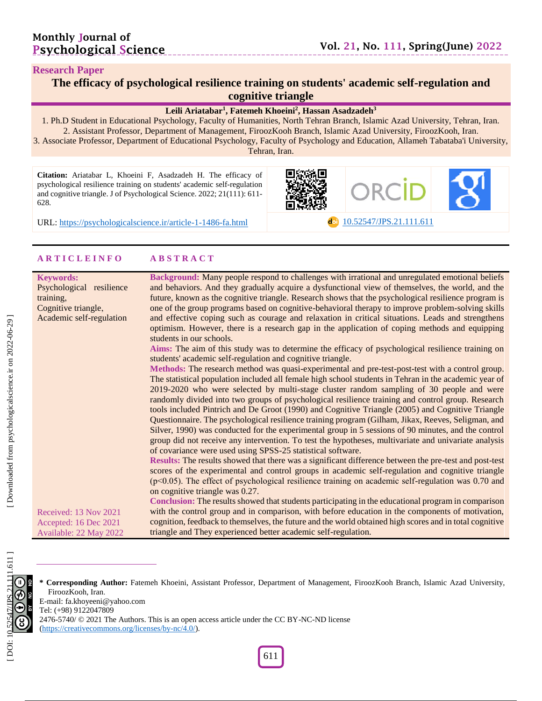dol [10.52547/JPS.21.111.611](https://psychologicalscience.ir/article-1-1486-fa.html)

#### **Research Paper**

| The efficacy of psychological resilience training on students' academic self-regulation and |  |
|---------------------------------------------------------------------------------------------|--|
| <b>cognitive triangle</b>                                                                   |  |

\_\_\_\_\_\_\_\_\_\_\_\_\_\_\_\_\_\_\_

#### **Leili Ariatabar 1 , Fatemeh Khoeini 2 , Hassan Asadzadeh 3**

1. Ph.D Student in Educational Psychology, Faculty of Humanities, North Tehran Branch, Islamic Azad University, Tehran, Iran. 2. Assistant Professor, Department of Management, FiroozKooh Branch, Islamic Azad University, FiroozKooh, Iran .

3. Associate Professor, Department of Educational Psychology, Faculty of Psychology and Education, Allameh Tabataba'i University, Tehran, Iran.

iΠ

**Citation:** Ariatabar L, Khoeini F, Asadzadeh H. The efficacy of psychological resilience training on students' academic self-regulation and cognitive triangle. J of Psychological Science. 2022; 21(111): 611-628 .

URL: [https://psychologicalscience.ir/article](https://psychologicalscience.ir/article-1-1486-fa.html)-1-1486

### **A R T I C L E I N F O A B S T R A C T**

| <b>Keywords:</b><br>Psychological resilience<br>training,                | Background: Many people respond to challenges with irrational and unregulated emotional beliefs<br>and behaviors. And they gradually acquire a dysfunctional view of themselves, the world, and the<br>future, known as the cognitive triangle. Research shows that the psychological resilience program is                                                                                                                                                                                                                                                                                                                                                                                                                                                                                                                                                                                        |
|--------------------------------------------------------------------------|----------------------------------------------------------------------------------------------------------------------------------------------------------------------------------------------------------------------------------------------------------------------------------------------------------------------------------------------------------------------------------------------------------------------------------------------------------------------------------------------------------------------------------------------------------------------------------------------------------------------------------------------------------------------------------------------------------------------------------------------------------------------------------------------------------------------------------------------------------------------------------------------------|
| Cognitive triangle,<br>Academic self-regulation                          | one of the group programs based on cognitive-behavioral therapy to improve problem-solving skills<br>and effective coping such as courage and relaxation in critical situations. Leads and strengthens<br>optimism. However, there is a research gap in the application of coping methods and equipping<br>students in our schools.                                                                                                                                                                                                                                                                                                                                                                                                                                                                                                                                                                |
|                                                                          | Aims: The aim of this study was to determine the efficacy of psychological resilience training on<br>students' academic self-regulation and cognitive triangle.                                                                                                                                                                                                                                                                                                                                                                                                                                                                                                                                                                                                                                                                                                                                    |
|                                                                          | Methods: The research method was quasi-experimental and pre-test-post-test with a control group.<br>The statistical population included all female high school students in Tehran in the academic year of<br>2019-2020 who were selected by multi-stage cluster random sampling of 30 people and were<br>randomly divided into two groups of psychological resilience training and control group. Research<br>tools included Pintrich and De Groot (1990) and Cognitive Triangle (2005) and Cognitive Triangle<br>Questionnaire. The psychological resilience training program (Gilham, Jikax, Reeves, Seligman, and<br>Silver, 1990) was conducted for the experimental group in 5 sessions of 90 minutes, and the control<br>group did not receive any intervention. To test the hypotheses, multivariate and univariate analysis<br>of covariance were used using SPSS-25 statistical software. |
|                                                                          | Results: The results showed that there was a significant difference between the pre-test and post-test<br>scores of the experimental and control groups in academic self-regulation and cognitive triangle<br>$(p<0.05)$ . The effect of psychological resilience training on academic self-regulation was 0.70 and<br>on cognitive triangle was 0.27.                                                                                                                                                                                                                                                                                                                                                                                                                                                                                                                                             |
|                                                                          | Conclusion: The results showed that students participating in the educational program in comparison                                                                                                                                                                                                                                                                                                                                                                                                                                                                                                                                                                                                                                                                                                                                                                                                |
| Received: 13 Nov 2021<br>Accepted: 16 Dec 2021<br>Available: 22 May 2022 | with the control group and in comparison, with before education in the components of motivation,<br>cognition, feedback to themselves, the future and the world obtained high scores and in total cognitive<br>triangle and They experienced better academic self-regulation.                                                                                                                                                                                                                                                                                                                                                                                                                                                                                                                                                                                                                      |



**\* Corresponding Author:** Fatemeh Khoeini, Assistant Professor, Department of Management, FiroozKooh Branch, Islamic Azad University, FiroozKooh, Iran .

E -mail: fa.khoyeeni@yahoo.com

Tel: (+98) 9122047809

2476-5740/ © 2021 The Authors. This is an open access article under the CC BY-NC-ND license [\(https://creativecommons.org/licenses/by](https://creativecommons.org/licenses/by-nc/4.0/) -nc/4.0/).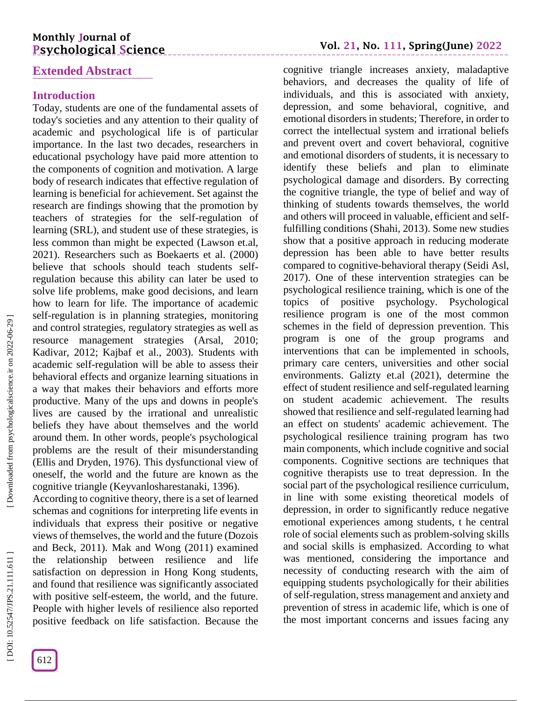# **Monthly Journal of Psychological Science**

# **Extended Abstract**

## **Introduction**

Today, students are one of the fundamental assets of today's societies and any attention to their quality of academic and psychological life is of particular importance. In the last two decades, researchers in educational psychology have paid more attention to the components of cognition and motivation. A large body of research indicates that effective regulation of learning is beneficial for achievement. Set against the research are findings showing that the promotion by teachers of strategies for the self -regulation of learning (SRL), and student use of these strategies, is less common than might be expected (Lawson et.al, 2021). Researchers such as Boekaerts et al. (2000) believe that schools should teach students self regulation because this ability can later be used to solve life problems, make good decisions, and learn how to learn for life. The importance of academic self-regulation is in planning strategies, monitoring and control strategies, regulatory strategies as well as resource management strategies (Arsal, 2010; Kadivar, 2012; Kajbaf et al., 2003). Students with academic self-regulation will be able to assess their behavioral effects and organize learning situations in a way that makes their behaviors and efforts more productive. Many of the ups and downs in people's lives are caused by the irrational and unrealistic beliefs they have about themselves and the world around them. In other words, people's psychological problems are the result of their misunderstanding (Ellis and Dryden, 1976). This dysfunctional view of oneself, the world and the future are known as the cognitive triangle (Keyvanlosharestanaki, 1396).

According to cognitive theory, there is a set of learned schemas and cognitions for interpreting life events in individuals that express their positive or negative views of themselves, the world and the future (Dozois and Beck, 2011). Mak and Wong (2011) examined the relationship between resilience and life satisfaction on depression in Hong Kong students, and found that resilience was significantly associated with positive self-esteem, the world, and the future. People with higher levels of resilience also reported positive feedback on life satisfaction. Because the

cognitive triangle increases anxiety, maladaptive behaviors, and decreases the quality of life of individuals, and this is associated with anxiety, depression, and some behavioral, cognitive, and emotional disorders in students; Therefore, in order to correct the intellectual system and irrational beliefs and prevent overt and covert behavioral, cognitive and emotional disorders of students, it is necessary to identify these beliefs and plan to eliminate psychological damage and disorders. By correcting the cognitive triangle, the type of belief and way of thinking of students towards themselves, the world and others will proceed in valuable, efficient and selffulfilling conditions (Shahi, 2013). Some new studies show that a positive approach in reducing moderate depression has been able to have better results compared to cognitive -behavioral therapy (Seidi Asl, 2017). One of these intervention strategies can be psychological resilience training, which is one of the topics of positive psychology. Psychological resilience program is one of the most common schemes in the field of depression prevention. This program is one of the group programs and interventions that can be implemented in schools, primary care centers, universities and other social environments. Galizty et.al (2021), determine the effect of student resilience and self-regulated learning on student academic achievement. The results showed that resilience and self-regulated learning had an effect on students' academic achievement. The psychological resilience training program has two main components, which include cognitive and social components. Cognitive sections are techniques that cognitive therapists use to treat depression. In the social part of the psychological resilience curriculum, in line with some existing theoretical models of depression, in order to significantly reduce negative emotional experiences among students, t he central role of social elements such as problem -solving skills and social skills is emphasized. According to what was mentioned, considering the importance and necessity of conducting research with the aim of equipping students psychologically for their abilities of self-regulation, stress management and anxiety and prevention of stress in academic life, which is one of the most important concerns and issues facing any

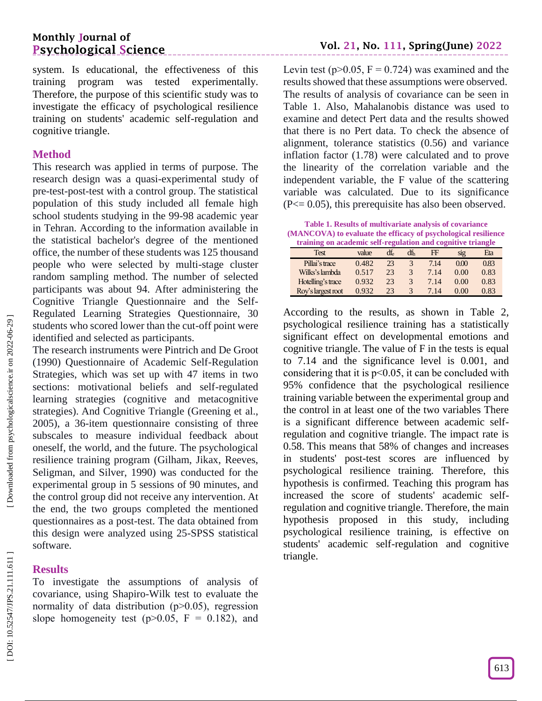# **Monthly Journal of Psychological Science**

system. Is educational, the effectiveness of this training program was tested experimentally. Therefore, the purpose of this scientific study was to investigate the efficacy of psychological resilience training on students' academic self -regulation and cognitive triangle.

### **Method**

This research was applied in terms of purpose. The research design was a quasi -experimental study of pre -test -post -test with a control group. The statistical population of this study included all female high school students studying in the 99 -98 academic year in Tehran. According to the information available in the statistical bachelor's degree of the mentioned office, the number of these students was 125 thousand people who were selected by multi -stage cluster random sampling method. The number of selected participants was about 94. After administering the Cognitive Triangle Questionnaire and the Self - Regulated Learning Strategies Questionnaire, 30 students who scored lower than the cut -off point were identified and selected as participants.

The research instruments were Pintrich and De Groot (1990) Questionnaire of Academic Self -Regulation Strategies, which was set up with 47 items in two sections: motivational beliefs and self-regulated learning strategies (cognitive and metacognitive strategies). And Cognitive Triangle (Greening et al., 2005), a 36 -item questionnaire consisting of three subscales to measure individual feedback about oneself, the world, and the future. The psychological resilience training program (Gilham, Jikax, Reeves, Seligman, and Silver, 1990) was conducted for the experimental group in 5 sessions of 90 minutes, and the control group did not receive any intervention. At the end, the two groups completed the mentioned questionnaires as a post -test. The data obtained from this design were analyzed using 25 -SPSS statistical software.

## **Results**

To investigate the assumptions of analysis of covariance, using Shapiro -Wilk test to evaluate the normality of data distribution  $(p>0.05)$ , regression slope homogeneity test  $(p>0.05, F = 0.182)$ , and

Levin test ( $p > 0.05$ ,  $F = 0.724$ ) was examined and the results showed that these assumptions were observed. The results of analysis of covariance can be seen in Table 1. Also, Mahalanobis distance was used to examine and detect Pert data and the results showed that there is no Pert data. To check the absence of alignment, tolerance statistics (0.56) and variance inflation factor (1.78) were calculated and to prove the linearity of the correlation variable and the independent variable, the F value of the scattering variable was calculated. Due to its significance  $(P \le 0.05)$ , this prerequisite has also been observed.

**Table 1. Results of multivariate analysis of covariance (MANCOVA) to evaluate the efficacy of psychological resilience training on academic self-regulation and cognitive triangle**

| <u>u annug on acauchne sen-regulation and eogmuve triangie</u> |       |     |     |      |      |      |  |  |  |
|----------------------------------------------------------------|-------|-----|-----|------|------|------|--|--|--|
| <b>Test</b>                                                    | value | dfe | dfh | FF   | SI2  | Eta  |  |  |  |
| Pillai's trace                                                 | 0.482 | 23  |     | 7.14 | 0.00 | 0.83 |  |  |  |
| Wilks's lambda                                                 | 0.517 | 23  | 3   | 7.14 | 0.00 | 0.83 |  |  |  |
| Hotelling's trace                                              | 0.932 | 23  | 3   | 7.14 | 0.00 | 0.83 |  |  |  |
| Roy's largest root                                             | 0.932 | 23  | 3   | 7.14 | 0.00 | 0.83 |  |  |  |

According to the results, as shown in Table 2, psychological resilience training has a statistically significant effect on developmental emotions and cognitive triangle. The value of F in the tests is equal to 7.14 and the significance level is 0.001, and considering that it is  $p<0.05$ , it can be concluded with 95% confidence that the psychological resilience training variable between the experimental group and the control in at least one of the two variables There is a significant difference between academic self regulation and cognitive triangle. The impact rate is 0.58. This means that 58% of changes and increases in students' post -test scores are influenced by psychological resilience training. Therefore, this hypothesis is confirmed. Teaching this program has increased the score of students' academic self regulation and cognitive triangle. Therefore, the main hypothesis proposed in this study, including psychological resilience training, is effective on students' academic self -regulation and cognitive triangle.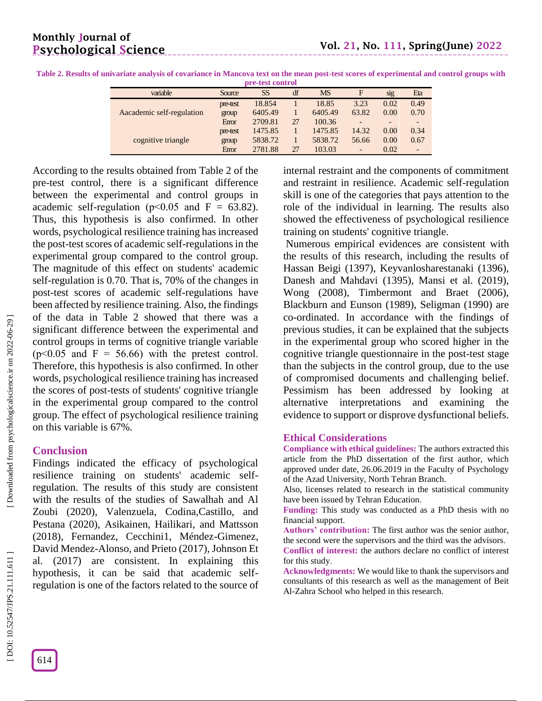| ого-изы социтог           |          |         |    |           |       |      |      |  |
|---------------------------|----------|---------|----|-----------|-------|------|------|--|
| variable                  | Source   | SS      | df | <b>MS</b> | F     | sig  | Eta  |  |
|                           | pre-test | 18.854  |    | 18.85     | 3.23  | 0.02 | 0.49 |  |
| Aacademic self-regulation | group    | 6405.49 |    | 6405.49   | 63.82 | 0.00 | 0.70 |  |
|                           | Enor     | 2709.81 | 27 | 100.36    |       |      |      |  |
|                           | pre-test | 1475.85 |    | 1475.85   | 14.32 | 0.00 | 0.34 |  |
| cognitive triangle        | group    | 5838.72 |    | 5838.72   | 56.66 | 0.00 | 0.67 |  |
|                           | Enor     | 2781.88 | 27 | 103.03    | -     | 0.02 | -    |  |

**Table 2. Results of univariate analysis of covariance in Mancova text on the mean post -test scores of experimental and control groups with pre -test control**

\_\_\_\_\_\_\_\_\_\_\_\_\_\_\_\_\_\_\_\_\_\_\_

According to the results obtained from Table 2 of the pre -test control, there is a significant difference between the experimental and control groups in academic self-regulation ( $p<0.05$  and  $F = 63.82$ ). Thus, this hypothesis is also confirmed. In other words, psychological resilience training has increased the post -test scores of academic self-regulations in the experimental group compared to the control group. The magnitude of this effect on students' academic self-regulation is 0.70. That is, 70% of the changes in post -test scores of academic self-regulations have been affected by resilience training. Also, the findings of the data in Table 2 showed that there was a significant difference between the experimental and control groups in terms of cognitive triangle variable  $(p<0.05$  and  $F = 56.66$ ) with the pretest control. Therefore, this hypothesis is also confirmed. In other words, psychological resilience training has increased the scores of post -tests of students' cognitive triangle in the experimental group compared to the control group. The effect of psychological resilience training on this variable is 67%.

## **Conclusion**

Findings indicated the efficacy of psychological resilience training on students' academic selfregulation. The results of this study are consistent with the results of the studies of Sawalhah and Al Zoubi (2020), Valenzuela, Codina,Castillo, and Pestana (2020), [Asikainen](https://www.tandfonline.com/author/Asikainen%2C+Henna) , [Hailikari,](https://www.tandfonline.com/author/Hailikari%2C+Telle) and [Mattsson](https://www.tandfonline.com/author/Mattsson%2C+Markus) (2018), Fernandez, Cecchini1, Méndez -Gimenez, David Mendez -Alonso, and Prieto (2017), Johnson Et al. (2017) are consistent. In explaining this hypothesis, it can be said that academic self regulation is one of the factors related to the source of

internal restraint and the components of commitment and restraint in resilience. Academic self-regulation skill is one of the categories that pays attention to the role of the individual in learning. The results also showed the effectiveness of psychological resilience training on students' cognitive triangle.

Numerous empirical evidences are consistent with the results of this research, including the results of Hassan Beigi (1397), Keyvanlosharestanaki (1396), Danesh and Mahdavi (1395), Mansi et al. (2019), Wong (2008), Timbermont and Braet (2006), Blackburn and Eunson (1989), Seligman (1990) are co -ordinated. In accordance with the findings of previous studies, it can be explained that the subjects in the experimental group who scored higher in the cognitive triangle questionnaire in the post -test stage than the subjects in the control group, due to the use of compromised documents and challenging belief. Pessimism has been addressed by looking at alternative interpretations and examining the evidence to support or disprove dysfunctional beliefs.

#### **Ethical Considerations**

**Compliance with ethical guidelines:** The authors extracted this article from the PhD dissertation of the first author, which approved under date, 26.06.2019 in the Faculty of Psychology of the Azad University, North Tehran Branch.

Also, licenses related to research in the statistical community have been issued by Tehran Education .

**Funding:** This study was conducted as a PhD thesis with no financial support .

**Authors' contribution:** The first author was the senior author, the second were the supervisors and the third was the advisors .

**Conflict of interest:** the authors declare no conflict of interest for this study .

**Acknowledgments:** We would like to thank the supervisors and consultants of this research as well as the management of Beit Al -Zahra School who helped in this research.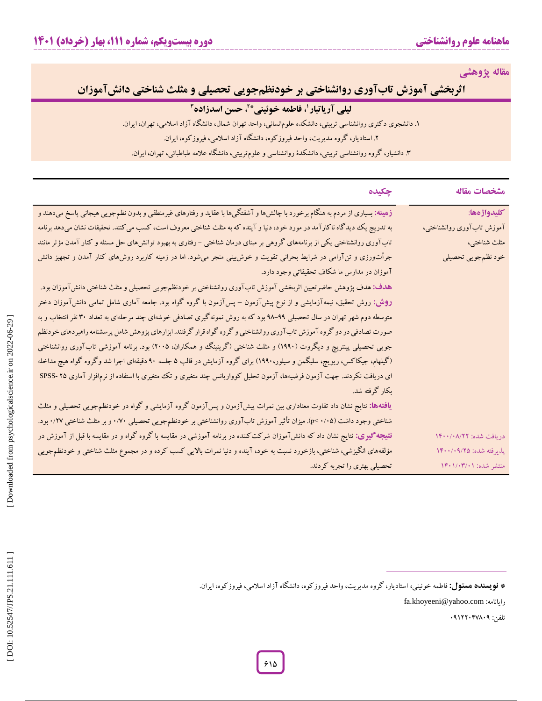**مقاله پژوهشی**

**اثربخشی آموزش تابآوری روانشناختی بر خودنظمجویی تحصیلی و مثلث شناختی دانشآموزان** 

# **لیلی آریاتبار ، فاطمه خوئینی <sup>1</sup> 2 \* ، حسن اسدزاده 3**

۱. دانشجوی د کتری روانشناسی تربیتی، دانشکده علومانسانی، واحد تهران شمال، دانشکاه آزاد اسلامی، تهران، ایران.

. استادیار، گروه مدیریت، واحد فیروزکوه، دانشگاه آزاد اسالمی، فیروزکوه، ایران. 2

۴. دانشیار، کروه روانشناسی تربیتی، دانشکدهٔ روانشناسی و علوم تربیتی، دانشکاه علامه طباطبائی، تهران، ایران.

|                           | چکیده                                                                                                                                  |
|---------------------------|----------------------------------------------------------------------------------------------------------------------------------------|
| كليدواژهها:               | زهینه: بسیاری از مردم به هنگام برخورد با چالشها و آشفتگیها با عقاید و رفتارهای غیرمنطقی و بدون نظمجویی هیجانی پاسخ میدهند و            |
| آموزش تابآورى روانشناختى، | به تدریج یک دیدگاه ناکارآمد در مورد خود، دنیا و آینده که به مثلث شناختی معروف است، کسب می کنند. تحقیقات نشان میدهد برنامه              |
| مثلث شناختي،              | تابآوری روانشناختی یکی از برنامههای گروهی بر مبنای درمان شناختی – رفتاری به بهبود توانشهای حل مسئله و کنار آمدن مؤثر مانند             |
| خود نظمجويي تحصيلي        | جرأت <code>ورزی</code> و تن $\vec$ رامی در شرایط بحرانی تقویت و خوش بینی منجر میشود. اما در زمینه کاربرد روش۵ای کنار آمدن و تجهیز دانش |
|                           | آموزان در مدارس ما شکاف تحقیقاتی وجود دارد.                                                                                            |
|                           | هدف: هدف پژوهش حاضرتعیین اثربخشی آموزش تابآوری روانشناختی بر خودنظم جویی تحصیلی و مثلث شناختی دانشآموزان بود.                          |
|                           | <b>روش:</b> روش تحقیق، نیمهآزمایشی و از نوع پیشآزمون – پسآزمون با گروه گواه بود. جامعه آماری شامل تمامی دانشآموزان دختر                |
|                           | متوسطه دوم شهر تهران در سال تحصیلی ۹۹–۹۸ بود که به روش نمونهگیری تصادفی خوشهای چند مرحلهای به تعداد ۳۰ نفر انتخاب و به                 |
|                           | صورت تصادفی در دو گروه آموزش تابآوری روانشناختی و گروه گواه قرار گرفتند. ابزارهای پژوهش شامل پرسشنامه راهبردهای خودنظم                 |
|                           | جویی تحصیلی پینتریچ و دیگروت (۱۹۹۰) و مثلث شناختی (گرینینگ و همکاران، ۲۰۰۵) بود. برنامه آموزشی تابآوری روانشناختی                      |
|                           | (گیلهام، جیکاکس، ریویچ، سلیگمن و سیلور،۱۹۹۰) برای گروه آزمایش در قالب ۵ جلسه ۹۰ دقیقهای اجرا شد وگروه گواه هیچ مداخله                  |
|                           | ای دریافت نکردند. جهت آزمون فرضیهها، آزمون تحلیل کوواریانس چند متغیری و تک متغیری با استفاده از نرم فزار آماری ۲۵ -SPSS                |
|                           | بكار گرفته شد.                                                                                                                         |
|                           | <b>یافتهها:</b> نتایج نشان داد تفاوت معناداری بین نمرات پیشآزمون و پسآزمون گروه آزمایشی و گواه در خودنظم $بویی تحصیلی و مثلث$          |
|                           | شناختی وجود داشت (۱٬۰۵٪ ). میزان تأثیر آموزش تابآوری روانشناختی بر خودنظمجویی تحصیلی ۰/۷۰ و بر مثلث شناختی ۰/۲۷ بود.                   |
| دريافت شده: ١۴٠٠/٠٨/٢٢    | <b>نتیجه گیری:</b> نتایج نشان داد که دانشآموزان شرکتکننده در برنامه آموزشی در مقایسه با گروه گواه و در مقایسه با قبل از آموزش در       |
| پذیرفته شده: ۱۴۰۰/۰۹/۲۵   | مؤلفههای انگیزشی، شناختی، بازخورد نسبت به خود، آینده و دنیا نمرات بالایی کسب کرده و در مجموع مثلث شناختی و خودنظمجویی                  |
| منتشر شده: ۱۴۰۱/۰۳/۰۱     | تحصیلی بهتری را تجربه کردند.                                                                                                           |

fa.khoyeeni@yahoo.com :رایانامه

تلفن: 80122800080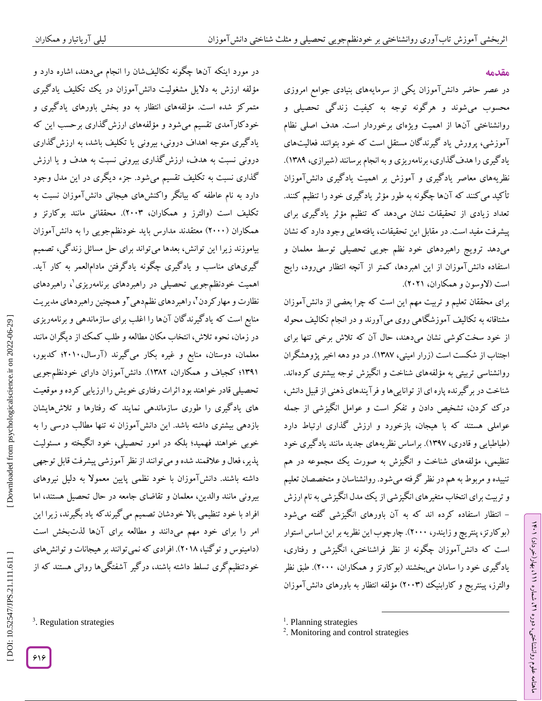**مقدمه**

ラン

، بهار)خرداد( 111

، شماره 21

ماهنامه علوم روانشناختی، دوره

در عصر حاضر دانشآموزان یکی از سرمایههای بنیادی جوامع امروزی محسوب میشوند و هرگونه توجه به کیفیت زندگی تحصیلی و روانشناختی آنها از اهمیت ویژهای برخوردار است. هدف اصلی نظام اموزشی، پرورش یاد کیرند کان مستقل است که خود بتوانند فعالیتهای یاد کیری را هدف کداری، برنامهریزی و به انجام برسانند ([شیرازی،](https://www.virascience.com/thesis/author/370334/) ۱۳۸۹). نظریههای معاصر یادکیری و اموزش بر اهمیت یادکیری دانش۱موزان تأکید میکنند که آنها چگونه به طور مؤثر یادگیری خود را تنظیم کنند. تعداد زیادی از تحقیقات نشان میدهد که تنظیم مؤثر یادگیری برای پیشرفت مفید است. در مقابل این تحقیقات، یافتههایی وجود دارد که نشان میدهد ترویج راهبردهای خود نظم جویی تحصیلی توسط معلمان و استفاده دانشآموزان از این اهبردها، کمتر از آنچه انتظار میرود، رایج است (لاوسون و همکاران، ۲۰۲۱).

برای محققان تعلیم و تربیت مهم این است که چرا بعضی از دانش!موزان مشتاقانه به تکالیف آموزشگاهی روی میآورند و در انجام تکالیف محوله از خود سخت کوشی نشان میدهند، حال آن که تلاش برخی تنها برای اجتناب از شکست است (زرار امینی، ۱۳۸۷). در دو دهه اخیر پژوهشگران روانشناسی تربیتی به مؤلفههای شناخت و انگیزش توجه بیشتری گردهاند. شناخت در بر گیرنده پاره ای از تواناییها و فر آیندهای دهنی از قبیل دانش، در ک کردن، تشخیص دادن و تفکر است و عوامل انگیزشی از جمله عواملی هستند که با هیجان، بازخورد و ارزش کداری ارتباط دارد (طباطبایی و قادری، ۱۳۹۷). براساس نظریههای جدید مانند یاد گیری خود تنظیمی، مؤلفههای شناخت و انگیزش به صورت یک مجموعه در هم تنییده و مربوط به هم در نظر کرفته میشود. روانشناسان و متخصصان تعلیم و تربیت برای انتخاب متغیرهای انگیزشی از یک مدل انگیزشی به نام ارزش انتظار استفاده کرده اند که به آن باورهای انگیزشی گفته میشود - (بو کارتز، پنتریچ و زایندر، ۲۰۰۰). چارچوب این نظریه بر این اساس استوار است که دانشآموزان چگونه از نظر فراشناختی، انگیزشی و رفتاری، یاد گیری خود را سامان میبخشند (بو کارتز و همکاران، ۲۰۰۰). طبق نظر والترز، پینتریج و کارابنیک (۲۰۰۳) مؤلفه انتظار به باورهای دانش۱موزان

در مورد اینکه آنها چگونه تکالیفشان را انجام میدهند، اشاره دارد و مؤلفه ارزش به دلایل مشغولیت دانشآموزان در یک تکلیف یادگیری<br>متمرکز شده است. مؤلفههای انتظار به دو بخش باورهای یادگیری و<br>خودکارآمدی تقسیم میشود و مؤلفههای ارزشگذاری برحسب این که یادگیری متوجه اهداف درونی، بیرونی یا تکلیف باشد، به ارزشگذاری درونی نسبت به هدف، ارزش کداری بیرونی نسبت به هدف و یا ارزش گذاری نسبت به تکلیف تقسیم میشود. جزء دیگری در این مدل وجود دارد به نام عاطفه که بیانگر واکنشهای هیجانی دانشآموزان نسبت به تکلیف است (والترز و همکاران، ۲۰۰۳). محققانی مانند بوکارتز و همکاران (۲۰۰۰) معتقدند مدارس باید خودنظمجویی را به دانش آموزان بیاموزند زیرا این توانش، بعدها میتواند برای حل مسائل زندگی، تصمیم کیریهای مناسب و یادکیری چگونه یادگرفتن مادامالعمر به کار آید. اهمیت خودنظمجویی تحصیلی در راهبردهای برنامهریزی 1 ، راهبردهای نظارت و مهار کردن ٌ، راهبردهای نظمدهی ؓ و همچنین راهبردهای مدیریت یزی منابع است که یادگیرندگان آنها را اغلب برای سازماندهی و برنامهر در زمان، نحوه تالش، انتخاب مکان مطالعه و طلب کمک از دیگران مانند معلمان، دوستان، منابع و غیره بکار می گیرند (ارسال،۲۰۱۰؛ گدیور، 1301؛ کجباف و همکاران، 1302(. دانشآموزان دارای خودنظمجویی تحصیلی قادر خواهند بود اثرات رفتاری خویش را ارزیابی کرده و موقعیت های یادگیری را طوری سازماندهی نمایند که رفتارها و تالشهایشان بازدهی بیشتری داشته باشد. این دانشآموزان نه تنها مطالب درسی را به خوبی خواهند فهمید؛ بلکه در امور تحصیلی، خود انگیخته و مسئولیت پذیر، فعال و عالقمند شده و میتوانند از نظر آموزشی پیشرفت قابل توجهی داشته باشند. دانشآموزان با خود نظمی پایین معموال به دلیل نیروهای بیرونی مانند والدین، معلمان و تقاضای جامعه در حال تحصیل هستند، اما افراد با خود تنظیمی باال خودشان تصمیم میگیرندکه یاد بگیرند، زیرا این امر را برای خود مهم میدانند و مطالعه برای آنها لدتبخش است (دامینوس و توکنیا، ۲۰۱۸). افرادی که نمی توانند بر هیجانات و توانش های 3 خودتنظیمگری تسلط داشته باشند، درگیر آشفتگیها روانی هستند که از

<sup>3</sup>. Regulation strategies

<sup>1</sup>. Planning strategies

 $\overline{\phantom{a}}$ 

<sup>&</sup>lt;sup>2</sup>. Monitoring and control strategies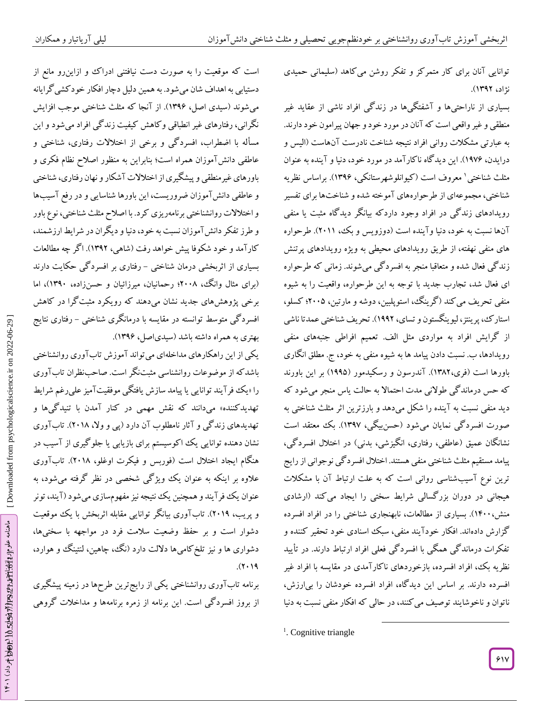توانایی آنان برای کار متمرکز و تفکر روشن می کاهد (سلیمانی حمیدی نژاد، 1302(.

بسیاری از ناراحتی۱ها و ۱شفتگیها در زندگی افراد ناشی از عقاید غیر منطقی و غیر واقعی است که آنان در مورد خود و جهان پیرامون خود دارند. به عبارتی مشکلات روانی افراد نتیجه شناخت نادرست آنهاست (الیس و درایدن، ۱۹۷۶). این دید کاه نا کار آمد در مورد خود، دنیا و آینده به عنوان مثلث شناختی ' معروف است (کیوانلوشهرستانکی، ۱۳۹۶). براساس نظریه شناختی، مجموعهای از طرحوارههای آموخته شده و شناختها برای تفسیر رویدادهای زندگی در افراد وجود داردکه بیانگر دیدگاه مثبت یا منفی آنها نسبت به خود، دنیا وآینده است (دوزویس و بک، ۲۰۱۱). طرحواره های منفی نهفته، از طریق رویدادهای محیطی به ویژه رویدادهای پرتنش زندگی فعال شده و متعاقبا منجر به افسردگی میشوند. زمانی که طرحواره ای فعال شد، تجارب جدید با توجه به این طرحواره، واقعیت را به شیوه منفی تحریف می کند ( کرینگ، استوپلبین، دوشه و مارتین، ۲۰۰۵؛ کسلو، استار ک، پرینتز، لیوینگستون و تسای، ۱۹۹۲). تحریف شناختی عمدتاً ناشی از گرایش افراد به مواردی مثل الف. تعمیم افراطی جنبههای منفی رویدادها، ب. نسبت دادن پیامد ها به شیوه منفی به خود، ج. مطلق انگاری باورها است (فری،۱۳۸۲). آندرسون و رسکیدمور (۱۹۹۵) بر این باورند که حس درماندگی طوالنی مدت احتماال به حالت یاس منجر میشود که دید منفی نسبت به آینده را شکل میدهد و بارزترین اثر مثلث شناختی به صورت افسرد کی نمایان میشود (حسن،یگی، ۱۳۹۷). بک معتقد است نشانگان عمیق (عاطفی، رفتاری، انگیزشی، بدنی) در اختلال افسردگی، پیامد مستقیم مثلث شناختی منفی هستند. اختالل افسردگی نوجوانی ازرایج ترین نوع آسیبشناسی روانی است که به علت ارتباط آن با مشکالت هیجانی در دوران بزرگسالی شرایط سختی را ایجاد میکند )ارشادی منش،۱۴۰۰). بسیاری از مطالعات، نابهنجاری شناختی را در افراد افسرده<br>گزارش دادهاند. افکار خودآیند منفی، سبک اسنادی خود تحقیر کننده و تفکرات درماندگی همگی با افسردگی فعلی افراد ارتباط دارند. در تأیید نظریه بک، افراد افسرده، بازخوردهای ناکارآمدی در مقایسه با افراد غیر افسرده دارند. بر اساس این دیدگاه، افراد افسرده خودشان را بیارزش، ناتوان و ناخوشایند توصیف می کنند، در حالی که افکار منفی نسبت به دنیا

 $\overline{\phantom{a}}$ 

است که موقعیت را به صورت دست نیافتنی ادراک و ازاینرو مانع از دستیابی بهاهداف شان میشود. بههمین دلیل دچارافکار خودکشیگرایانه می شوند (سیدی اصل، ۱۳۹۶). از آنجا که مثلث شناختی موجب افزایش نگرانی، رفتارهای غیر انطباقی وکاهش کیفیت زندگی افراد میشود و این له با اضطراب، افسردگی و برخی از اختالالت رفتاری، شناختی و مسأ عاطفی دانشآموزان همراه است؛ بنابراین به منظور اصالح نظام فکری و باورهای غیرمنطقی و پیشگیری از اختالالت آشکار و نهان رفتاری، شناختی و عاطفی دانشآموزان ضروریست، این باورها شناسایی و در رفع آسیبها و اختالالت روانشناختی برنامهریزیکرد. با اصالح مثلث شناختی، نوع باور و طرز تفکر دانشآموزان نسبت به خود، دنیا و دیگران در شرایط ارزشمند، کارآمد و خود شکوفا پیش خواهد رفت )شاهی، 1302(. اگر چه مطالعات بسیاری از اثربخشی درمان شناختی – رفتاری بر افسرد کی حکایت دارند (برای مثال وانگ، ۲۰۰۸؛ رحمانیان، میرزائیان و حسنزاده، ۱۳۹۰)، اما برخی پژوهشهای جدید نشان میدهند که رویکرد مثبتگرا در کاهش افسرد کی متوسط توانسته در مقایسه با درمانگری شناختی – رفتاری نتایج بهتری به همراه داشته باشد (سیدیاصل، ۱۳۹۶).

یکی ازاین راهکارهای مداخلهای میتواند آموزش تابآوری روانشناختی باشد که از موضوعات روانشناسی مثبتنگر است. صاحبنظران تاب اوری را «یک فرایند توانایی یا پیامد سازش یافتکی موفقیت آمیز علیرغم شرایط تهدیدکننده» میدانند که نقش مهمی در کنار آمدن با تنیدگیها و تهدیدهای زند کی و آثار نامطلوب آن دارد (پی و ولا، ۲۰۱۸). تاب اوری نشان دهنده توانایی یک اکوسیستم برای بازیابی یا جلو کیری از آسیب در هنگام ایجاد اختلال است (فوربس و فیکرت اوغلو، ۲۰۱۸). تاب اوری عالوه بر اینکه به عنوان یک ویژگی شخصی در نظر گرفته میشود، به عنوان یک فر ا یند و همچنین یک نتیجه نیز مفهومسازی میشود ( ا یند، تونر و پریب، ۲۰۱۹). تاب اوری بیانگر توانایی مقابله اثربخش با یک موقعیت دشوار است و بر حفظ وضعیت سلامت فرد در مواجهه با سختیها،<br>دشواری ها و نیز تلخ کامیها دلالت دارد (نگ، چاهین، لنتینگ و هوارد،  $(7.19)$ 

برنامه تابآوری روانشناختی یکی از رایجترین طرحها در زمینه پیشگیری از بروز افسردگی است. این برنامه از زمره برنامهها و مداخلات گروهی

<sup>&</sup>lt;sup>1</sup>. Cognitive triangle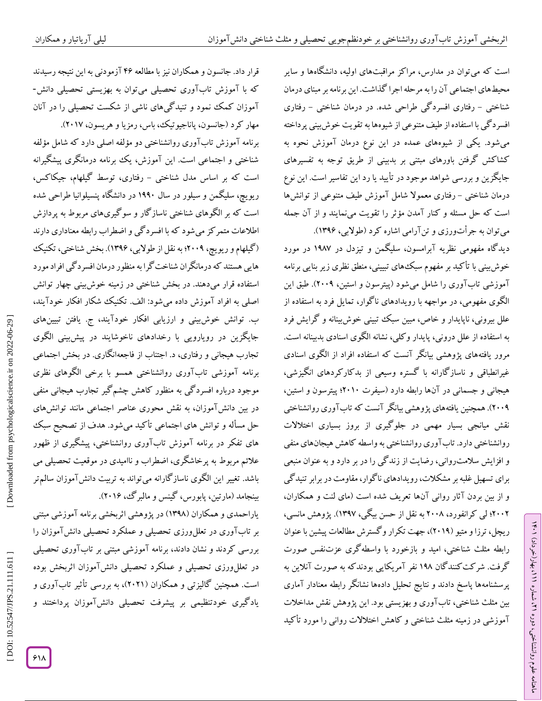است که می توان در مدارس، مراکز مراقبتهای اولیه، دانشگاهها و سایر محیطهای اجتماعی آن را به مرحله اجرا گذاشت. این برنامه بر مبنای درمان شناختی – رفتاری افسرد کی طراحی شده. در درمان شناختی – رفتاری افسردگی با استفاده از طیف متنوعی از شیوهها بهتقویت خوشبینی پرداخته میشود. یکی از شیوههای عمده در این نوع درمان آموزش نحوه به کشاکش گرفتن باورهای مبتنی بر بدبینی از طریق توجه به تفسیرهای جایگزین و بررسی شواهد موجود در تایید یا رد این تفاسیر است. این نوع درمان شناختی – رفتاری معمولاً شامل آموزش طیف متنوعی از توانشها است که حل مسئله و کنار امدن مؤثر را تقویت می $نمایند و از آن جمله$ 

می توان به جراتورزی و تن ارامی اشاره کرد (طولابی، ۱۳۹۶). دیدگاه مفهومی نظریه آبرامسون، سلیگمن و تیزدل در 1000 در مورد خوش بینی با تا کید بر مفهوم سبک\$های تبیینی، منطق نظری زیر بنایی برنامه آموزشی تاب اوری را شامل میشود (پیترسون و استین، ۲۰۰۹). طبق این الگوی مفهومی، در مواجهه با رویدادهای ناگوار، تمایل فرد به استفاده از علل بیرونی، ناپایدار و خاص، مبین سبک تبینی خوشبینانه و گرایش فرد به استفاده از علل درونی، پایدار و کلی، نشانه الکوی اسنادی بدبینانه است. مرور یافتههای پژوهشی بیانگر آنست که استفاده افراد از الگوی اسنادی غیرانطباقی و ناسازگارانه با گستره وسیعی از بدکارکردهای انگیزشی،<br>هیجانی و جسمانی در آنها رابطه دارد (سیفرت ۲۰۱۰؛ پیترسون و استین، 2880(. همچنین یافتههای پژوهشی بیانگر آنست که تابآوری روانشناختی نقش میانجی بسیار مهمی در جلوگیری از بروز بسیاری اختالالت روانشناختی دارد. تابآوری روانشناختی به واسطه کاهش هیجانهای منفی و افزایش سلامت روانی، رضایت از زند کی را در بر دارد و به عنوان منبعی برای تسهیل غلبه بر مشکلات، رویدادهای ناگوار، مقاومت در برابر تنیدگی<br>و از بین بردن آثار روانی آنها تعریف شده است (مای لنت و همکاران، ۲۰۰۲؛ لی کرانفورد، ۲۰۰۸ به نقل از حسن بیگی، ۱۳۹۷). پژوهش مانسی، ریچل، ترزا و متیو (۲۰۱۹)، جهت تکرار و کسترش مطالعات پیشین با عنوان رابطه مثلث شناختی، امید و بازخورد با واسطهگری عزتنفس صورت گرفت. شرکتکنندگان 100 نفر آمریکایی بودندکه به صورت آنالین به پرسشنامهها پاسخ دادند و نتایج تحلیل دادهها نشانگر رابطه معنادار آماری بین مثلث شناختی، تابآوری و بهزیستی بود. این پژوهش نقش مداخالت کید آموزشی در زمینه مثلث شناختی و کاهش اختالالت روانی را مورد تأ

قرار داد. جانسون و همکاران نیز با مطالعه ۴۶ آزمودنی به این نتیجه رسیدند<br>که با آموزش تابآوری تحصیلی میتوان به بهزیستی تحصیلی دانش-آموزان کمک نمود و تنیدگیهای ناشی از شکست تحصیلی را در آنان مهار کرد (جانسون، پاناجیوتیک، باس، رمزیا و هریسون، ۲۰۱۷). برنامه آموزش تابآوری روانشناختی دو مؤلفه اصلی دارد که شامل مؤلفه شناختی و اجتماعی است. این آموزش، یک برنامه درمانگری پیشگیرانه است که بر اساس مدل شناختی – رفتاری، توسط گیلهام، جیکاکس، ریویچ، سلیگمن و سیلور در سال 1008 در دانشگاه پنسیلوانیا طراحی شده است که بر الگوهای شناختی ناسازگار و سوگیریهای مربوط به پردازش اطالعات متمرکز میشود که با افسردگی و اضطراب رابطه معناداری دارند (کیلهام و ریویچ، ۲۰۰۹؛ به نقل از طولابی، ۱۳۹۶). بخش شناختی، تکنیک هایی هستند که درمانگران شناختگرا به منظور درمان افسردگی افراد مورد استفاده قرار میدهند. در بخش شناختی در زمینه خوشبینی چهار توانش<br>اصلی به افراد آموزش داده میشود: الف. تکنیک شکار افکار خودآیند، ب. توانش خوش.بینی و ارزیابی افکار خودآیند، ج. یافتن تبیینهای جایگزین در رویارویی با رخدادهای ناخوشایند در پیشبینی الگوی تجارب هیجانی و رفتاری، د. اجتناب از فاجعهانکاری. در بخش اجتماعی برنامه آموزشی تابآوری روانشناختی همسو با برخی الگوهای نظری موجود درباره افسردگی به منظور کاهش چشمگیر تجارب هیجانی منفی در بین دانشآموزان، به نقش محوری عناصر اجتماعی مانند توانشهای حل مساله و توانش های اجتماعی تا کید میشود. هدف از تصحیح سبک های تفکر در برنامه آموزش تابآوری روانشناختی، پیشگیری از ظهور عالئم مربوط به پرخاشگری، اضطراب و ناامیدی در موقعیت تحصیلی می باشد. تغییر این الگوی ناسازگارانه میتواند به تربیت دانشآموزان سالمتر بینجامد (مارتین، پابورس، کینس و مالبر ک، ۲۰۱۶).

یاراحمدی و همکاران )1300( در پژوهشی اثربخشی برنامه آموزشی مبتنی بر تابآوری در تعللورزی تحصیلی و عملکرد تحصیلی دانشآموزان را بررسی کردند و نشان دادند، برنامه آموزشی مبتنی بر تابآوری تحصیلی در تعللeرزی تحصیلی و عملکرد تحصیلی دانشآموزان اثربخش بوده<br>است. همچنین گالیزتی و همکاران (۲۰۲۱)، به بررسی تأثیر تابآوری و یادگیری خودتنظیمی بر پیشرفت تحصیلی دانشآموزان پرداختند و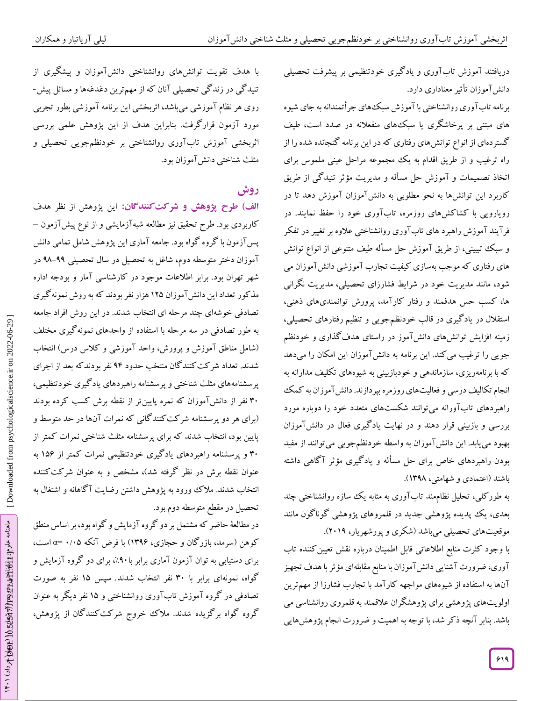دریافتند آموزش تاب آوری و یاد کیری خودتنظیمی بر پیشرفت تحصیلی دانشآموزان تأثیرمعناداری دارد.

برنامه تاب اوری روانشناختی با آموزش سبکههای جرأتمندانه به جای شیوه های مبتنی بر پرخاشگری یا سبکهای منفعالنه در صدد است، طیف گستردهای از انواع توانشهای رفتاری که در این برنامه گنجانده شده را از راه ترغیب و از طریق اقدام به یک مجموعه مراحل عینی ملموس برای اتخاذ تصمیمات و آموزش حل مساله و مدیریت مؤثر تنیدگی از طریق کاربرد این توانشها به نحو مطلوبی به دانشآموزان آموزش دهد تا در رویارویی با کشاکشهای روزمره، تابآوری خود را حفظ نمایند. در فرآیند آموزش راهبرد های تابآوری روانشناختی عالوه بر تغییر در تفکر و سبک تبیینی، از طریق آموزش حل مسأله طیف متنوعی از انواع توانش های رفتاری که موجب بهسازی کیفیت تجارب آموزشی دانشآموزان می شود، مانند مدیریت خود در شرایط فشارزای تحصیلی، مدیریت نگرانی ها، کسب حس هدفمند و رفتار کارآمد، پرورش توانمندیهای ذهنی، استقالل در یادگیری در قالب خودنظمجویی و تنظیم رفتارهای تحصیلی، زمینه افزایش توانشهای دانشآموز در راستای هدفگذاری و خودنظم جویی را ترغیب می کند. این برنامه به دانش آموزان این امکان را میدهد که با برنامهریزی، سازماندهی و خودبازبینی به شیوههای تکلیف مدارانه به انجام تکالیف درسی و فعالیتهای روزمره بپردازند. دانشآموزان به کمک راهبردهای تابآورانه میتوانند شکستهای متعدد خود را دوباره مورد بررسی و بازبینی قرار دهند و در نهایت یادگیری فعال در دانشآموزان بهبود مییابد. این دانشآموزان به واسطه خودنظمجویی میتوانند از مفید بودن راهبردهای خاص برای حل مسأله و یاد گیری مؤثر آگاهی داشته اعتمادی و شهامتی، 1300(. باشند )

به طور کلی، تحلیل نظامهند تاب اوری به مثابه یک سازه روانشناختی چند بعدی، یک پپدیده پژوهشی جدید در قلمروهای پژوهشی گوناگون مانند موقعیتهای تحصیلی میباشد )شکری و پورشهریار، 2810(.

با وجود کثرت منابع اطالعاتی قابل اطمینان درباره نقش تعیینکننده تاب آوری، ضرورت آشنایی دانشآموزان با منابع مقابلهای مؤثرباهدف تجهیز آنها به استفاده از شیوههای مواجهه کارآمد با تجارب فشارزا از مهمترین اولویتهای پژوهشی برای پژوهشگران عالقمند به قلمروی روانشناسی می باشد. بنابر آنچه ذکر شد، با توجه به اهمیت و ضرورت انجام پژوهشهایی

با هدف تقویت توانش%ای روانشناختی دانشآموزان و پیشگیری از<br>تنیدگی در زندگی تحصیلی آنان که از مهمترین دغدغهها و مسائل پیش-روی هر نظام آموزشی میباشد، اثربخشی این برنامه آموزشی بطور تجربی مورد آزمون قرارگرفت. بنابراین هدف از این پژوهش علمی بررسی<br>اثربخشی آموزش تابآوری روانشناختی بر خودنظمجویی تحصیلی و مثلث شناختی دانشآموزان بود.

# **روش**

الف) طرح پژوهش و شرکت *گ*نندگان: این پژوهش از نظر هدف کاربردی بود. طرح تحقیق نیز مطالعه شبهآزمایشی و از نوع پیشآزمون – پس آزمون با گروه گواه بود. جامعه آماری این پژوهش شامل تمامی دانش 00 در آموزان دختر متوسطه دوم، شاغل به تحصیل در سال تحصیلی -00 شهر تهران بود. برابر اطلاعات موجود در کارشناسی آمار و بودجه اداره مذکور تعداد این دانشآموزان ۱۲۵ هزار نفر بودند که به روش نمونهگیری<br>تصادفی خوشهای چند مرحله ای انتخاب شدند. در این روش افراد جامعه به طور تصادفی در سه مرحله با استفاده از واحدهای نمونهگیری مختلف (شامل مناطق آموزش و پرورش، واحد آموزشی و کلاس درس) انتخاب شدند. تعداد شرکتکنندگان منتخب حدود 00 نفر بودندکه بعد از اجرای پرسشنامههای مثلث شناختی و پرسشنامه راهبردهای یاد کیری خودتنظیمی، ۳۰ نفر از دانشآموزان که نمره پایینتر از نقطه برش کسب کرده بودند<br>(برای هر دو پرسشنامه شرکتکنندگانی که نمرات آنها در حد متوسط و پایین بود، انتخاب شدند که برای پرسشنامه مثلث شناختی نمرات کمتر از پرسشنامه راهبردهای یادگیری خودتنظیمی نمرات کمتر از 165 به 38 و عنوان نقطه برش در نظر کرفته شد)، مشخص و به عنوان شرکت کننده انتخاب شدند. ملاک ورود به پژوهش داشتن رضایت ا کاهانه و اشتغال به<br>تحصیل در مقطع متوسطه دوم بود.

در مطالعة حاضر که مشتمل بر دو گروه آزمایش و گواه بود، بر اساس منطق کوهن (سرمد، بازرگان و حجازی، ۱۳۹۶) با فرض آنکه ۰/۰۵ =c است، برای دستیابی به توان آزمون آماری برابر با۹۰٪، برای دو کروه آزمایش و گواه، نمونهای برابر با ۳۰ نفر انتخاب شدند. سپس ۱۵ نفر به صورت تصادفی در کروه آموزش تاب اوری روانشناختی و ۱۵ نفر دیگر به عنوان گروه گواه برگزیده شدند. مالک خروج شرکتکنندگان از پژوهش،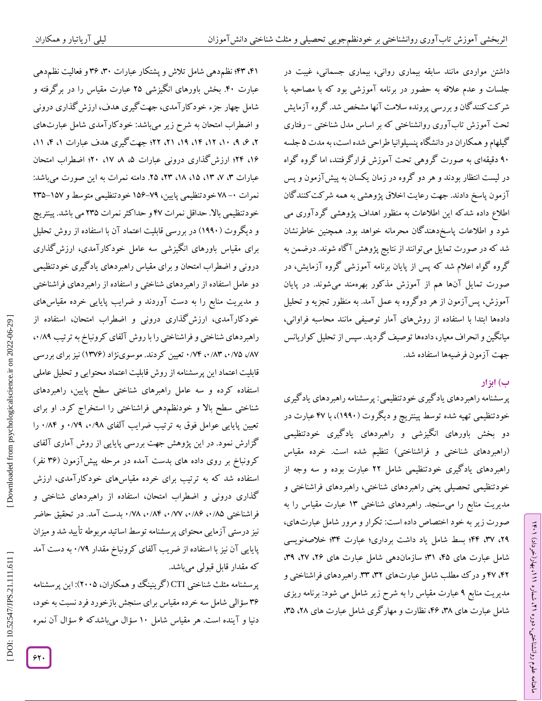داشتن مواردی مانند سابقه بیماری روانی، بیماری جسمانی، غیبت در جلسات و عدم علاقه به حضور در برنامه آموزشی بود که با مصاحبه با شر کت کنند کان و بررسی پرونده سلامت آنها مشخص شد. گروه آزمایش تحت آموزش تاب آوری روانشناختی که بر اساس مدل شناختی – رفتاری کیلهام و همکاران در دانشگاه پنسیلوانیا طراحی شده است، به مدت ۵ جلسه 08 دقیقهای به صورت گروهی تحت آموزش قرارگرفتند، اما گروه گواه در لیست انتظار بودند و هر دو کروه در زمان یکسان به پیش آزمون و پس آزمون پاسخ دادند. جهت رعایت اخالق پژوهشی به همه شرکتکنندگان اطالع داده شدکه این اطالعات به منظور اهداف پژوهشی گردآوری می شود و اطلاعات پاسخدهند کان محرمانه خواهد بود. همچنین خاطرنشان شد که در صورت تمایل میتوانند از نتایج پژوهش آگاه شوند. درضمن به<br>گروه گواه اعلام شد که پس از پایان برنامه آموزشی گروه آزمایش، در صورت تمایل آنها هم از آموزش مذکور بهرهمند میشوند. در پایان اموزش، پس ازمون از هر دو گروه به عمل آمد. به منظور تجزیه و تحلیل دادهها ابتدا با استفاده از روشهای آمار توصیفی مانند محاسبه فراوانی، میانکین و انحراف معیار، دادهها توصیف کردید. سپس از تحلیل کواریانس جهت آزمون فرضیهها استفاده شد.

# **ب( ابزار**

پرسشنامه راهبردهای یادگیری خودتنظیمی: پرسشنامه راهبردهای یادگیری خودتنظیمی تهیه شده توسط پینتریچ و دیگروت (۱۹۹۰)، با ۴۷ عبارت در دو بخش باورهای انگیزشی و راهبردهای یادگیری خودتنظیمی (راهبردهای شناختی و فراشناختی) تنظیم شده است. خرده مقیاس راهبردهای یادگیری خودتنظیمی شامل ۲۲ عبارت بوده و سه وجه از خودتنظیمی تحصیلی یعنی راهبردهای شناختی، راهبردهای فراشناختی و مدیریت منابع را میسنجد. راهبردهای شناختی ۱۳ عبارت مقیاس را به<br>صورت زیر به خود اختصاص داده است: تکرار و مرور شامل عبارت۱های، ،20 ،30 00؛ بسط شامل یاد داشت برداری؛ عبارت 30؛ خالصهنویسی شامل عبارت های ۴۵، ۳۱؛ سازماندهی شامل عبارت های ۲۶، ۳۹، ۳۹،<br>۴۲، ۴۷ و درک مطلب شامل عبارتهای ۳۲، ۳۳. راهبردهای فراشناختی و مدیریت منابع ۹ عبارت مقیاس را به شرح زیر شامل می شود: برنامه ریزی شامل عبارت های ۳۸، ۴۶، نظارت و مهار کری شامل عبارت های ۲۸، ۳۵،

۴۲، ۴۳؛ نظم دهی شامل تلاش و پشتکار عبارات ۳۰، ۳۶ و فعالیت نظم دهی عبارت .08 بخش باورهای انگیزشی 26 عبارت مقیاس را در برگرفته و شامل چهار جزء خودکارآمدی، جهتگیری هدف، ارزشگذاری درونی و اضطراب امتحان به شرح زیر میباشد: خود کار آمدی شامل عبارتهای ۲، ۶، ۹، ۱۲، ۱۲، ۱۴، ۲۱، ۲۱، ۲۲؛ جهت کیری هدف عبارات ۱، ۴، ۱۱، ۱۶، ۴۲؛ ارزش کداری درونی عبارات ۵، ۸، ۱۷، ۴۰؛ اضطراب امتحان عبارات ۳، ۷، ۱۲، ۱۵، ۱۸، ۲۳، ۲۵. دامنه نمرات به این صورت میباشد: نمرات ۰– ۷۸ خودتنظیمی پایین، ۷۹–۱۵۶ خودتنظیمی متوسط و ۱۵۷–۲۳۵ خودتنظیمی باال. حداقل نمرات 00 و حداکثرنمرات 236 می باشد. پینتریچ و دیگروت (۱۹۹۰) در بررسی قابلیت اعتماد آن با استفاده از روش تحلیل برای مقیاس باورهای انگیزشی سه عامل خودکارآمدی، ارزش کذاری درونی و اضطراب امتحان و برای مقیاس راهبردهای یاد کیری خودتنظیمی دو عامل استفاده از راهبردهای شناختی و استفاده از راهبردهای فراشناختی و مدیریت منابع را به دست آوردند و ضرایب پایایی خرده مقیاسهای خودکارآمدی، ارزش کذاری درونی و اضطراب امتحان، استفاده از راهبردهای شناختی و فراشناختی را با روش آلفای کرونباخ به ترتیب ۰۰/۸۹ ۸۷/، ۰/۸۳ تعیین کردند. موسوینژاد (۱۳۷۶) نیز برای بررسی قابلیت اعتماد این پرسشنامه از روش قابلیت اعتماد محتوایی و تحلیل عاملی استفاده کرده و سه عامل راهبرهای شناختی سطح پایین، راهبردهای شناختی سطح بالا و خودنظمدهی فراشناختی را استخراج کرد. او برای تعیین پایایی عوامل فوق به ترتیب ضرایب آلفای ۰/۷۹، ۰/۷۹ و ۰/۸۴ را گزارش نمود. در این پژوهش جهت بررسی پایایی از روش آماری آلفای کرونباخ بر روی داده های بدست آمده در مرحله پیش[زمون (۳۶ نفر) استفاده شد که به ترتیب برای خرده مقیاسهای خودکارآمدی، ارزش<br>گذاری درونی و اضطراب امتحان، استفاده از راهبردهای شناختی و فراشناختی ۰/۸۵ ،۰/۸۲ ،۰/۸۲ ،۰/۸۴ ،۰/۷۸ بدست آمد. در تحقیق حاضر نیز درستی آزمایی محتوای پرسشنامه توسط اساتید مربوطه تایید شد و میزان پایایی آن نیز با استفاده از ضریب آلفای کرونباخ مقدار ۰/۷۹ به دست امد<br>که مقدار قابل قبولی میباشد.

پرسشنامه مثلث شناختی CTI(گرینینگ و همکاران، ۲۰۰۵): این پرسشنامه ۳۶ سؤالی شامل سه خرده مقیاس برای سنجش بازخورد فرد نسبت به خود، دنیا و آینده است. هر مقیاس شامل ۱۰ سؤال میباشد که ۶ سؤال آن نمره

Downloaded from psychologicalscience.ir on 2022-06-29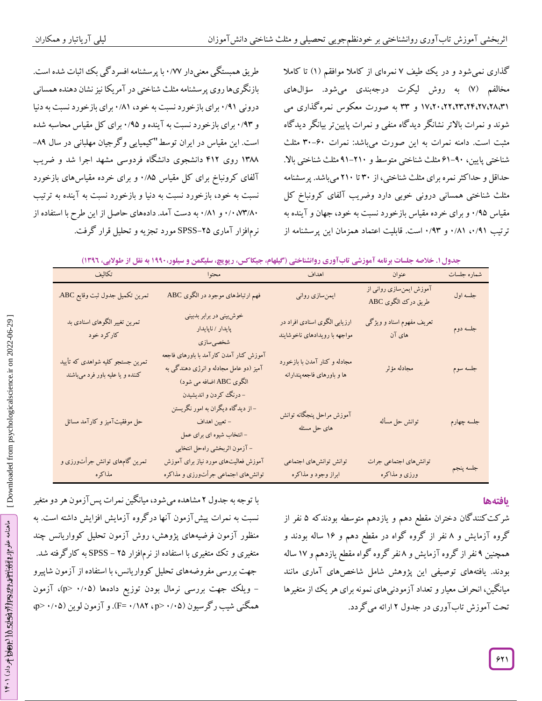طریق همبستگی معنیدار ۰/۷۷ با پرسشنامه افسرد کی بگ اثبات شده است. بازنگریها روی پرسشنامه مثلث شناختی در آمریکا نیز نشان دهنده همسانی<br>درونی ۰/۹۱ برای بازخورد نسبت به خود، ۰/۸۱ برای بازخورد نسبت به دنیا و ۰/۹۳ برای بازخورد نسبت به آینده و ۰/۹۵ برای کل مقیاس محاسبه شده است. این مقیاس در ایران توسط"کیمیایی وگرجیان مهلبانی در سال ۸۹– ۱۳۸۸ روی ۴۱۲ دانشجوی دانشگاه فردوسی مشهد اجرا شد و ضریب آلفای کرونباخ برای کل مقیاس ۱٬۸۵ و برای خرده مقیاسهای بازخورد نسبت به خود، بازخورد نسبت به دنیا و بازخورد نسبت به اینده به ترتیب ۰/۰،۷۳ و ۰/۱۰، به دست آمد. دادههای حاصل از این طرح با استفاده از **گیلهام، جیکاکس، ریویچ، سلیگمن <sup>و</sup> سیلور1991، به نقل از طوالبی، 1395(** نرمافزار آماری -26SPSS مورد تجزیه <sup>و</sup> تحلیل قرار گرفت. /08

کداری نمی شود و در یک طیف ۷ نمرهای از کاملا موافقم (۱) تا کاملا مخالفم (۷) به روش لیکرت درجهبندی میشود. سؤال&ای ۱۷،۲۰،۲۲،۲۲،۲۲،۲۲،۲۲ و ۳۳ به صورت معکوس نمره گذاری می شوند و نمرات بالاتر نشانگر دید کاه منفی و نمرات پایین تر بیانگر دید کاه مثبت است. دامنه نمرات به این صورت میباشد: نمرات ۳۰–۳۰ مثلث شناختی پایین، ۹۰-۶۱ مثلث شناختی متوسط و ۲۱۰-۹۱ مثلث شناختی بالا. حداقل و حدا کثر نمره برای مثلث شناختی، از ۳۰ تا ۲۱۰ میباشد. پرسشنامه مثلث شناختی همسانی درونی خوبی دارد وضریب آلفای کرونباخ کل<br>مقیاس ۰/۹۵ و برای خرده مقیاس بازخورد نسبت به خود، جهان و آینده به ترتیب ۰/۹۱، ۰/۸۱ و ۰/۹۳ است. قابلیت اعتماد همزمان این پرسشنامه از

|  |  |  |  | جدول ۱. خلاصه جلسات برنامه آموزشی تابآوری روانشناختی (گیلهام، جیکاکس، ریویچ، سلیگمن و سیلور،۱۹۹۰ به نقل از طولایی، ۱۳۹۲) |
|--|--|--|--|--------------------------------------------------------------------------------------------------------------------------|
|--|--|--|--|--------------------------------------------------------------------------------------------------------------------------|

| تكاليف                                                               | محتوا                                                                                                                                       | اهداف                                                          | عنوان                                          | شماره جلسات |
|----------------------------------------------------------------------|---------------------------------------------------------------------------------------------------------------------------------------------|----------------------------------------------------------------|------------------------------------------------|-------------|
| تمرين تكميل جدول ثبت وقايع ABC.                                      | فهم ارتباطهای موجود در الگوی ABC                                                                                                            | ایمن سازی روانی                                                | آموزش ایمن سازی روانی از<br>طريق درك الكوى ABC | جلسه اول    |
| تمرین تغییر الگوهای اسنادی بد<br>کارکرد خود                          | خوش بینی در برابر بدبینی<br>پايدار / ناپايدار<br>شخصىسازى                                                                                   | ارزیابی الگوی اسنادی افراد در<br>مواجهه با رويدادهاي ناخوشايند | تعریف مفهوم اسناد و ویژگی<br>های آن            | جلسه دوم    |
| تمرین جستجو کلیه شواهدی که تأیید<br>کننده و یا علیه باور فرد میباشند | آموزش كنار آمدن كارآمد با باورهاى فاجعه<br>آمیز (دو عامل مجادله و انرژی دهندگی به<br>الگوی ABC اضافه می شود)                                | مجادله و کنار آمدن با بازخورد<br>ها و باورهای فاجعهپندارانه    | مجادله مؤثر                                    | جلسه سوم    |
| حل موفقیتآمیز و کارآمد مسائل                                         | - درنگ کردن و اندیشیدن<br>– از دیدگاه دیگران به امور نگریستن<br>– تعیین اهداف<br>- انتخاب شیوه ای برای عمل<br>- آزمون اثربخشي راهحل انتخابي | آموزش مراحل پنجگانه توانش<br>های حل مسئله                      | توانش حل مسأله                                 | جلسه چهارم  |
| تمرین گامهای توانش جرأتورزی و<br>مذاكره                              | آموزش فعالیتهای مورد نیاز برای آموزش<br>توانش،ای اجتماعی جرأتورزی و مذاکره                                                                  | توانش توانشهای اجتماعی<br>ابراز وجود و مذاكره                  | توانشهاي اجتماعي جرات<br>ورزي و مذاكره         | جلسه پنجم   |

# **یافتهها**

شرکت کنندگان دختران مقطع دهم و یازدهم متوسطه بودندکه ۵ نفر از گروه ازمایش و ۸ نفر از کروه کواه در مقطع دهم و ۱۶ ساله بودند و همچنین ۹ نفر از کروه آزمایش و ۸نفر کروه کواه مقطع یازدهم و ۱۷ ساله بودند. یافتههای توصیفی این پژوهش شامل شاخصهای آماری مانند میانگین، انحراف معیار و تعداد آزمودنیهای نمونه برای هر یک از متغیرها تحت آموزش تابآوری در جدول ۲ ارائه میگردد.

با توجه به جدول ۲ مشاهده میشود، میانکین نمرات پس ازمون هر دو متغیر نسبت به نمرات پیشآزمون آنها درگروه آزمایش افزایش داشته است. به منظور آزمون فرضیههای پژوهش، روش آزمون تحلیل کوواریانس چند<br>متغیری و تک متغیری با استفاده از نرمافزار ۲۵ - SPSS به کارگرفته شد. جهت بررسی مفروضههای تحلیل کوواریانس، با استفاده ازآزمون شاپیرو – ویلک جهت بررسی نرمال بودن توزیع دادهها (۰/۰۵–p>)، آزمون همگنی شیب رگرسیون (۰/۰۵–p> ۰/۱۸۲، -F). و آزمون لوین (۰/۰۵–p>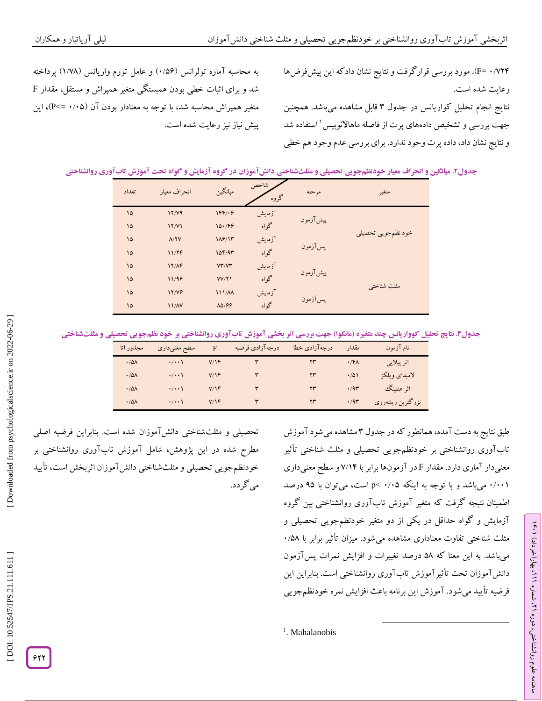به محاسبه آماره تولرانس (۱٬۵۶) و عامل تورم واریانس (۱٬۷۸) پرداخته شد و برای اثبات خطی بودن همبستگی متغیر همپراش و مستقل، مقدار <sup>F</sup> متغیر همپراش محاسبه شد، با توجه به معنادار بودن آن (۰/۰۵=>P)، این<br>پیش نیاز نیز رعایت شده است.

۰/۷۲۴ =F). مورد بررسی قرارگرفت و نتایج نشان دادکه این پیشفرضها<br>رعایت شده است.

نتایج انجام تحلیل کواریانس در جدول ۳ قابل مشاهده میباشد. همچنین جهت بررسی و تشخیص دادههای پرت از فاصله ماهاالنوبیس 1 استفاده شد و نتایج نشان داد، داده پرت وجود ندارد. برای بررسی عدم وجود هم خطی

| تعداد    | انحراف معيار | ميانگين      | شاخص<br>گروه | مر حله    | متغير              |  |
|----------|--------------|--------------|--------------|-----------|--------------------|--|
| ۱۵       | 17/Y9        | 1FF/49       | آزمايش       |           |                    |  |
| ۱۵       | 17/Y1        | 10.799       | گواه         | پیش آزمون |                    |  |
| $\delta$ | A/YY         | 119/11       | آزمايش       |           | خود نظمجويي تحصيلي |  |
| $\delta$ | 11/7F        | 10F/9T       | گواه         | پس آزمون  |                    |  |
| $\delta$ | 17/AF        | VT/VT        | آزمايش       |           |                    |  |
| $\delta$ | 11/98        | VV/Y         | گواه         | پیشآزمون  |                    |  |
| $\delta$ | 17/19        | 111/M        | آزمايش       |           | مثلث شناختي        |  |
| $\delta$ | 11/N         | <b>AD199</b> | گواه         | پس آزمون  |                    |  |

جدول". نتایج تحلیل کوواریانس چند متغیره (مانکوا) جهت بررسی آتر بخشی آموزش تابآوری روانشناختی بر خود نظمجویی تحصیلی و مثلثشناختی

| مجذور اتا        | سطح معنیداری        | F   | درجه آزادی فرضیه | درجه آزادي خطا         | مقدار          | نام آزمون        |
|------------------|---------------------|-----|------------------|------------------------|----------------|------------------|
| .70 <sub>A</sub> | $\cdot/\cdot\cdot$  | V/Y |                  | ٢٣                     | .76            | اثر پیلایی       |
| .78A             | $\cdot/\cdot\cdot$  | V/Y |                  | $\mathsf{Y}\mathsf{Y}$ | $\cdot/\Delta$ | لامبداي ويلكز    |
| .78A             | $\cdot/\cdot\cdot$  | V/Y |                  | YY                     | .79            | اثر هتلينگ       |
| .78A             | $\cdot$ / $\cdot$ ) | V/Y |                  | ۲۳                     | .79            | بزرگترین ریشهروی |

تحصیلی و مثلثشناختی دانش۱موزان شده است. بنابراین فرضیه اصلی مطرح شده در این پژوهش، شامل آموزش تابآوری روانشناختی بر خودنظم جویی تحصیلی و مثلثشناختی دانش اموزان اثربخش است، تایید<br>میگردد.

طبق نتایج به دست آمده، همانطور که در جدول ۳ مشاهده می شود آموزش تابآوری روانشناختی بر خودنظمجویی تحصیلی و مثلث شناختی تأثیر معنیدار آماری دارد. مقدار F در آزمونها برابر با ۷/۱۴ و سطح معنیداری ۰/۰۰۱ میباشد و با توجه به اینکه ۰/۰۵ >p است، میتوان با ۹۵ درصد اطمینان نتیجه گرفت که متغیر آموزش تابآوری روانشناختی بین گروه<br>آزمایش و گواه حداقل در یکی از دو متغیر خودنظمجویی تحصیلی و<br>مثلث شناختی تفاوت معناداری مشاهده میشود. میزان تأثیر برابر با ۰/۵۸ میباشد. به این معنا که ۵۸ درصد تغییرات و افزایش نمرات پسlزمون دانش آموزان تحت تأثیر آموزش تاب آوری روانشناختی است. بنابراین این فرضیه تأیید میشود. آموزش این برنامه باعث افزایش نمره خودنظمجویی

 $\overline{\phantom{a}}$ 

<sup>1</sup>. Mahalanobis

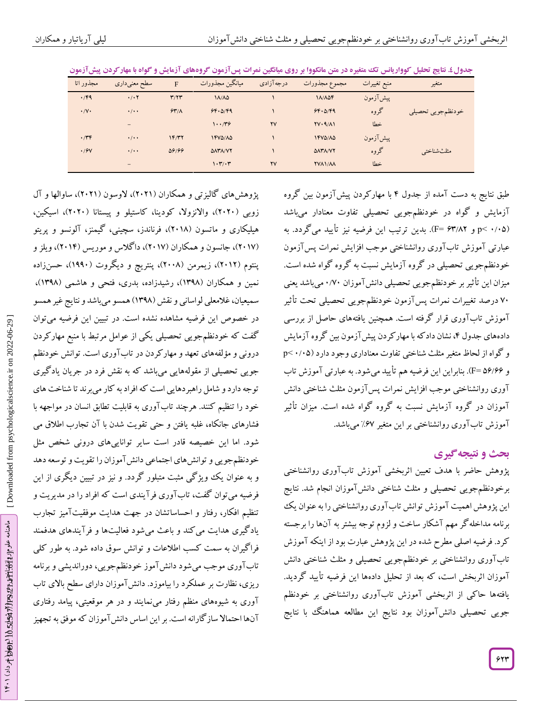| مجذور اتا               | سطح معنىدارى              | $\mathbf{F}$ | ميانگين مجذورات          | درجه آزادی | مجموع مجذورات                           | منبع تغييرات | متغير             |
|-------------------------|---------------------------|--------------|--------------------------|------------|-----------------------------------------|--------------|-------------------|
| $\cdot$ /۴۹             | $\cdot$ / $\cdot$ $\cdot$ | T/Y          | $1\Lambda/\Lambda\Delta$ |            | 11/10f                                  | پیش آزمون    |                   |
| $\cdot/\mathsf{V}\cdot$ | $\cdot$ / $\cdot$ $\cdot$ | 54/1         | 99.079                   |            | 99.079                                  | گروه         | خودنظمجويي تحصيلي |
|                         | $\qquad \qquad =$         |              | 1.779                    | <b>YV</b>  | $\Upsilon V \cdot \Upsilon / \Lambda V$ | خطا          |                   |
| $\cdot$                 | $\cdot$ / $\cdot$ $\cdot$ | 1F/YY        | 1410/10                  |            | <b>IFVO/AD</b>                          | پیشآزمون     |                   |
| .19V                    | $\cdot$ / $\cdot$ +       | 09199        | <b>DATA/VY</b>           |            | <b>DATA/VY</b>                          | گروه         | امثلث شناختي      |
|                         | $\qquad \qquad -$         |              | 1.7.7                    | <b>YV</b>  | <b>YVAI/AA</b>                          | خطا          |                   |

**نتایج تحلیل کوواریانس تک متغیره در متن مانکووا بر روی میانگین نمرات پسآزمون گروههای آزمایش و گواه با مهارکردن پیشآزمون . جدول4**

طبق نتایج به دست آمده از جدول ۴ با مهار کردن پیش آزمون بین گروه گواه در خودنظمجویی تحصیلی تفاوت معنادار میباشد آزمایش و p< ۰/۰۵) و F= ۶۳/۸۲). بدین ترتیب این فرضیه نیز تأیید میگردد. به عبارتی آموزش تابآوری روانشناختی موجب افزایش نمرات پسآزمون خودنظمٖجویی تحصیلی در گروه آزمایش نسبت به گروه گواه شده است. میزان این تاثیر بر خودنظمٖجویی تحصیلی دانش۱موزان ۰/۷۰میباشد یعنی 08 درصد تغییرات نمرات پسآزمون خودنظمجویی تحصیلی تحت تأثیر آموزش تابآوری قرار گرفته است. همچنین یافتههای حاصل از بررسی دادههای جدول ۴، نشان داد که با مهار کردن پیش آزمون بین کروه آزمایش p˂ 8 /86 و گواه از لحاظ متغیر مثلث شناختی تفاوت معناداری وجود دارد ) و F=۵۶/۶۶). بنابراین این فرضیه هم تأیید میشود. به عبارتی آموزش تاب آوری روانشناختی موجب افزایش نمرات پسآزمون مثلث شناختی دانش آموزان در گروه آزمایش نسبت به گروه گواه شده است. میزان تأثیر اموزش تاب اوری روانشناختی بر این متغیر %*7. می*باشد.<br>**بحث و نتیجه گیری** 

پژوهش حاضر با هدف تعیین اثربخشی آموزش تابآوری روانشناختی برخودنظمجویی تحصیلی و مثلث شناختی دانش۱موزان انجام شد. نتایج این پژوهش اهمیت آموزش توانش تابآوری روانشناختی را به عنوان یک برنامه مداخلهگر مهم آشکار ساخت و لزوم توجه بیشتر به آنها را برجسته کرد. فرضیه اصلی مطرح شده در این پژوهش عبارت بود از اینکه آموزش تابآوری روانشناختی بر خودنظمجویی تحصیلی و مثلث شناختی دانش آموزان اثربخش است، که بعد از تحلیل دادهها این فرضیه تأیید گردید. یافتهها حاکی از اثربخشی آموزش تابآوری روانشناختی بر خودنظم جویی تحصیلی دانشآموزان بود نتایج این مطالعه هماهنگ با نتایج

پژوهشهای کالیزتی و همکاران (۲۰۲۱)، لاوسون (۲۰۲۱)، ساوالها و آل زوبی (۲۰۲۰)، والانزولا، کودینا، کاستیلو و پیستانا (۲۰۲۰)، اسیکین، هیلیکاری و ماتسون (۲۰۱۸)، فرناندز، سچینی، کیمنز، آلونسو و پریتو (۲۰۱۷)، جانسون و همکاران (۲۰۱۷)، دا کلاس و موریس (۲۰۱۴)، ویلز و پنتوم (۲۰۱۲)، زیمرمن (۲۰۰۸)، پنتریچ و دیگروت (۱۹۹۰)، حسنزاده نمین و همکاران (۱۳۹۸)، رشیدزاده، بدری، فتحی و هاشمی (۱۳۹۸)، سمیعیان، غلامعلی لواسانی و نقش (۱۳۹۸) همسو میباشد و نتایج غیر همسو در خصوص این فرضیه مشاهده نشده است. در تبیین این فرضیه میتوان کفت که خودنظمجویی تحصیلی یکی از عوامل مرتبط با منبع مهار کردن درونی ومؤلفههای تعهد و مهارکردن در تابآوری است. توانش خودنظم جویی تحصیلی از مقولههایی میباشد که به نقش فرد در جریان یادگیری توجه دارد و شامل راهبردهایی است که افراد به کار میبرند تا شناخت های<br>خود را تنظیم کنند. هرچند تابآوری به قابلیت تطابق انسان در مواجهه با فشارهای جانکاه، غلبه یافتن و حتی تقویت شدن با آن تجارب اطالق می شود. اما این خصیصه قادر است سایر تواناییهای درونی شخص مثل خودنظم جویی و توانش های اجتماعی دانش آموزان را تقویت و توسعه دهد و به عنوان یک ویژگی مثبت متبلور گردد. و نیز در تبیین دیگری از این<br>فرضیه میتوان گفت، تابآوری فرآیندی است که افراد را در مدیریت و تنظیم افکار، رفتار و احساساتشان در جهت هدایت موفقیتآمیز تجارب یاد گیری هدایت می کند و باعث میشود فعالیتها و فرآیندهای هدفمند فرا کیران به سمت کسب اطلاعات و توانش سوق داده شود. به طور کلی تاب اوری موجب می شود دانش آموز خودنظمجویی، دوراندیشی و برنامه ریزی، نظارت بر عملکرد را بیاموزد. دانشآموزان دارای سطح باالی تاب اوری به شیوههای منظم رفتار میٖنمایند و در هر موقعیتی، پیامد رفتاری آنها احتماال سازگارانه است. بر این اساس دانشآموزان کهموفق به تجهیز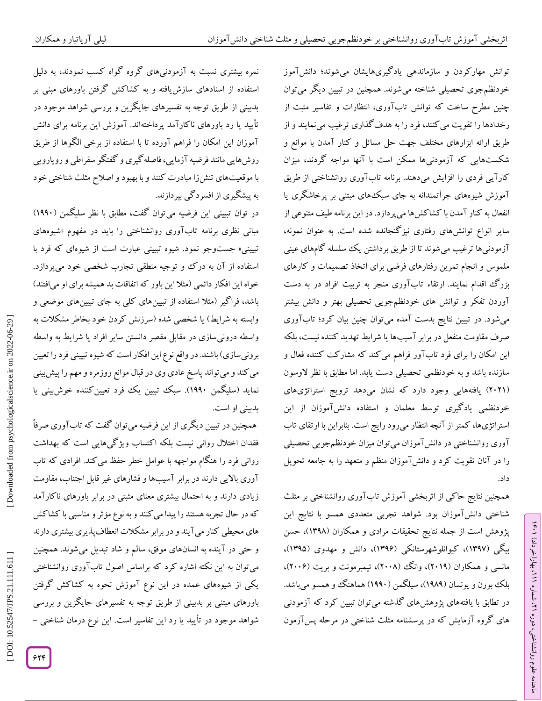نمره بیشتری نسبت به آزمودنیهای گروه گواه کسب نمودند، به دلیل استفاده از اسنادهای سازشیافته و به کشاکش گرفتن باورهای مبنی بر بدبینی از طریق توجه به تفسیرهای جایگزین و بررسی شواهد موجود در تأیید یا رد باورهای ناکارآمد پرداختهاند. آموزش این برنامه برای دانش آموزان این امکان را فراهم آورده تا با استفاده از برخی الگوها از طریق روشهایی مانند فرضیه آزمایی، فاصلهگیری و گفتگو سقراطی و رویارویی با موقعیتهای تنشزا مبادرت کنند و با بهبود و اصالح مثلث شناختی خود به پیشگیری از افسردگی بپردازند.

در توان تبیینی این فرضیه میتوان گفت، مطابق با نظر سلیگمن )1008( مبانی نظری برنامه تابآوری روانشناختی را باید در مفهوم «شیوههای تبیینی» جستوجو نمود. شیوه تبیینی عبارت است از شیوهای که فرد با استفاده از آن به درک و توجیه منطقی تجارب شخصی خود میپردازد. خواه این افکار دائمی (مثلا این باور که اتفاقات بد همیشه برای او میافتند) باشد، فراگیر )مثال استفاده از تبیینهای کلی به جای تبیینهای موضعی و وابسته به شرایط) یا شخصی شده (سرزنش کردن خود بخاطر مشکلات به واسطه درونیسازی در مقابل مقصر دانستن سایر افراد یا شرایط به واسطه برونیسازی) باشند. در واقع نوع این افکار است که شیوه تبیینی فرد را تعیین میکند و میتواند پاسخ عادی وی در قبال موانع روزمره و مهم را پیشبینی نماید (سلیگمن ۱۹۹۰). سبک تبیین یک فرد تعیینکننده خوشبینی یا بدبینی او است.

همچنین در تبیین دیگری از این فرضیه میتوان گفت که تاب اوری صرفا فقدان اختالل روانی نیست بلکه اکتساب ویژگیهایی است که بهداشت روانی فرد را هنگام مواجهه با عوامل خطر حفظ میکند. افرادی که تاب آوری باالیی دارند در برابر آسیبها و فشارهای غیر قابل اجتناب، مقاومت زیادی دارند و به احتمال بیشتری معنای مثبتی در برابر باورهای ناکارآمد که در حال تجربه هستند را پیدا میکنند و به نوع مؤثرو مناسبی با کشاکش های محیطی کنارمیآیند و در برابر مشکالت انعطافپذیری بیشتری دارند و حتی در آینده به انسانهای موفق، سالم و شاد تبدیل میشوند. همچنین میتوان به این نکته اشاره کرد که براساس اصول تابآوری روانشناختی یکی از شیوههای عمده در این نوع آموزش نحوه به کشاکش گرفتن باورهای مبتنی بر بدبینی از طریق توجه به تفسیرهای جایگزین و بررسی<br>شواهد موجود در تأیید یا رد این تفاسیر است. این نوع درمان شناختی –

توانش مهارکردن و سازماندهی یادگیریهایشان میشوند؛ دانشآموز خودنظمجوی تحصیلی شناخته میشوند. همچنین در تبیین دیگر میتوان چنین مطرح ساخت که توانش تابآوری، انتظارات و تفاسیر مثبت از رخدادها را تقویت میکنند، فرد را به هدفگذاری ترغیب مینمایند و از طریق ارائه ابزارهای مختلف جهت حل مسائل و کنار آمدن با موانع و شکستهایی که آزمودنیها ممکن است با آنها مواجه گردند، میزان کارآیی فردی را افزایش میدهند. برنامه تابآوری روانشناختی از طریق آموزش شیوههای جرأتمندانه به جای سبکهای مبتنی بر پرخاشگری یا انفعال به کنارآمدن با کشاکشها میپردازد. در این برنامه طیف متنوعی از سایر انواع توانشهای رفتاری نیزگنجانده شده است. به عنوان نمونه، آزمودنیها ترغیب میشوند تا از طریق برداشتن یک سلسله گامهای عینی ملموس و انجام تمرین رفتارهای فرضی برای اتخاذ تصمیمات و کارهای بزرگ اقدام نمایند. ارتقاء تابآوری منجر به تربیت افراد در به دست اوردن تفکر و توانش های خودنظمجویی تحصیلی بهتر و دانش بیشتر میشود. در تبیین نتایج بدست آمده میتوان چنین بیان کرد؛ تابآوری صرف مقاومت منفعل در برابر آسیبها یا شرایط تهدید کننده نیست، بلکه این امکان را برای فرد تابآور فراهم میکند که مشارکت کننده فعال و سازنده باشد و به خودنظمی تحصیلی دست یابد. اما مطابق با نظر لاوسون (۲۰۲۱) یافتههایی وجود دارد که نشان میدهد ترویج استراتژیهای خودنظمی یادگیری توسط معلمان و استفاده دانش۱موزان از این استراتژیها، کمتراز آنچه انتظارمیرود رایج است. بنابراین با ارتقای تاب آوری روانشناختی در دانشآموزان میتوان میزان خودنظمجویی تحصیلی را در آنان تقویت کرد و دانشآموزان منظم و متعهد را به جامعه تحویل داد.

همچنین نتایج حاکی از اثربخشی آموزش تابآوری روانشناختی بر مثلث شناختی دانشآموزان بود. شواهد تجربی متعددی همسو با نتایج این پژوهش است از جمله نتایج تحقیقات مرادی و همکاران )1300(، حسن بیگی )1300(، کیوانلوشهرستانکی )1305(، دانش و مهدوی )1306(، مانسی و همکاران (۲۰۱۹)، وانگ (۲۰۰۸)، تیمبرمونت و بریت (۲۰۰۶)، بلک بورن و یونسان )1000(، سیلگمن )1008( هماهنگ و همسو میباشد. در تطابق با یافتههای پژوهشهای گذشته میتوان تبیین کرد که آزمودنی های گروه آزمایش که در پرسشنامه مثلث شناختی در مرحله پسآزمون

ラン

، بهار)خرداد( 111

، شماره 21

ماهنامه علوم روانشناختی، دوره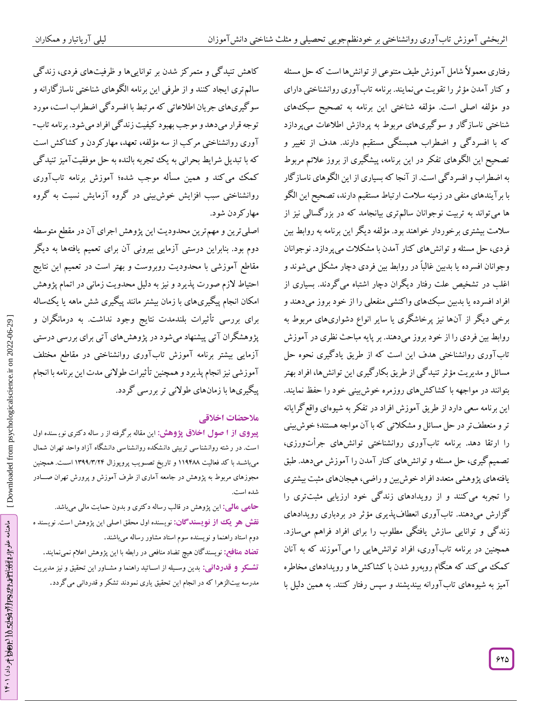اثربخشی آموزش تاب اروز نشان از بانکدار من از دیدن نشان از دیدن نشان از دیدن نشان از دیدن نشان از دیدن نشان از د<br>ثانين که معنی آموزش تاب از دیدن نشان از دیدن نشان از دیدن نشان از دیدن نشان از دیدن نشان از دیدن نشان از دیدن رفتاری معموالً شامل آموزش طیف متنوعی از توانشها است که حل مسئله و کنارآمدن مؤثررا تقویت مینمایند. برنامه تابآوری روانشناختی دارای دو مؤلفه اصلی است. مؤلفه شناختی این برنامه به تصحیح سبکهای شناختی ناسازگار و سوگیریهای مربوط به پردازش اطالعات میپردازد که با افسردگی و اضطراب همبستگی مستقیم دارند. هدف از تغییر و تصحیح این الگوهای تفکر در این برنامه، پیشگیری از بروز عالئم مربوط به اضطراب و افسردگی است. از آنجا که بسیاری از این الگوهای ناسازگار با برآیندهای منفی در زمینه سالمت ارتباط مستقیم دارند، تصحیح این الگو ها میتواند به تربیت نوجوانان سالمتری بیانجامد که در بزرگسالی نیز از سالمت بیشتری برخوردار خواهند بود. مؤلفه دیگر این برنامه به روابط بین فردی، حل مسئله و توانشهای کنارآمدن با مشکالت میپردازد. نوجوانان وجوانان افسرده یا بدبین غالباً در روابط بین فردی دچار مشکل میشوند و اغلب در تشخیص علت رفتار دیگران دچار اشتباه میگردند. بسیاری از افراد افسرده یا بدبین سبکههای واکنشی منفعلی را از خود بروز میدهند و برخی دیگر از آنها نیز پرخاشگری یا سایر انواع دشواریهای مربوط به روابط بین فردی را از خود بروز میدهند. بر پایه مباحث نظری در آموزش تابآوری روانشناختی هدف این است که از طریق یادگیری نحوه حل مسائل و مدیریت مؤثرتنیدگی از طریق بکارگیری این توانشها، افراد بهتر بتوانند در مواجهه با کشاکشهای روزمره خوشبینی خود را حفظ نمایند. این برنامه سعی دارد از طریق آموزش افراد در تفکر به شیوهای واقعگرایانه تر و منعطف تر در حل مسائل و مشکلاتی که با آن مواجه هستند؛ خوش بینی را ارتقا دهد. برنامه تابآوری روانشناختی توانشهای جراتورزی، تصمیمگیری، حل مسئله و توانشهای کنار آمدن را آموزش میدهد. طبق یافتههای پژوهشی متعدد افراد خوشبین و راضی، هیجانهای مثبت بیشتری را تجربه میکنند و از رویدادهای زندگی خود ارزیابی مثبتتری را گزارش میدهند. تابآوری انعطافپذیری مؤثر در بردباری رویدادهای زندگی و توانایی سازش یافتگی مطلوب را برای افراد فراهم میسازد. همچنین در برنامه تابآوری، افراد توانشهایی را میآموزند که به آنان کمک میکند که هنگام روبهرو شدن با کشاکشها و رویدادهای مخاطره آمیز به شیوههای تابآورانه بیندیشند و سپس رفتار کنند. به همین دلیل با

کاهش تنیدگی و متمرکز شدن بر تواناییها و ظرفیتهای فردی، زندگی سالمتری ایجاد کنند و از طرفی این برنامه الگوهای شناختی ناسازگارانه و سوگیریهای جریان اطلاعاتی که مرتبط با افسردگی اضطراب است، مورد<br>توجه قرار میدهد و موجب بهبود کیفیت زندگی افراد میشود. برنامه تاب-آوری روانشناختی مرکب از سه مؤلفه، تعهد، مهارکردن و کشاکش است که با تبدیل شرایط بحرانی به یک تجربه بالنده به حل موفقیت آمیز تنید کی کمک میکند و همین مسأله موجب شده؛ آموزش برنامه تابآوری روانشناختی سبب افزایش خوشبینی در گروه آزمایش نسبت به گروه مهارکردن شود.

اصلیترین و مهمترین محدودیت این پژوهش اجرای آن در مقطع متوسطه دوم بود. بنابراین درستی آزمایی بیرونی آن برای تعمیم یافتهها به دیگر مقاطع آموزشی با محدودیت روبروست و بهتر است در تعمیم این نتایج احتیاط الزم صورت پذیرد و نیز به دلیل محدویت زمانی در اتمام پژوهش امکان انجام پیگیریهای با زمان بیشتر مانند پیگیری شش ماهه یا یکساله برای بررسی تأثیرات بلندمدت نتایج وجود نداشت. به درمانگران و<br>پژوهشگران آتی پیشنهاد میشود در پژوهشهای آتی برای بررسی درستی آزمایی بیشتر برنامه آموزش تابآوری روانشناختی در مقاطع مختلف آموزشی نیز انجام پذیرد و همچنین تأثیرات طوالنی مدت این برنامه با انجام پیگیریها با زمانهای طولانی تر بررسی گردد.<br>هلا**حضات اخلاق**ی

**از ا صول اخالق پژوهش:** این مقاله برگرفته از ر ساله دکتری نوی سنده اول **پیروی** است. در رشته روانشناسی تربیتی دانشکده روانشناسی دانشگاه آزاد واحد تهران شمال میباشــد با کد فعالیت ۱۱۹۴۸۸ و تاریخ تصــویب پروپوزال ۱۳۹۹/۳/۲۴ اســت. همچنین مجوزهای مربوط به پژوهش در جامعه آماری از طرف آموزش و پرورش تهران صـــادر<br>شده است.<br>**حامی مالی:** این پژوهش در قالب رساله دکتری و بدون حمایت مالی می<sub>ا</sub>باشد.

**نقش هو یک از نویسندگان:** نویسنده اول محقق اصلی این پژوهش است. نویسند ه دوم استاد راهنما و نویسنده سوم استاد مشاور رساله میباشند.

<mark>تضاد منافع: ن</mark>ویسندگان هیچ تضاد منافعی در رابطه با این پژوهش اعلام نمیiمایند. بدین وسددیله از اسدداتید راهنما و مشدداور این تحقیق و نیز مدیریت **: قدردانی تشککر و** مدرسه بیتالزهرا که در انجام این تحقیق یاری نمودند تشکر و قدردانی میگردد.

ماهنامه علوم ارد انتخاب اختیه : 10.5254 و 164 شماره به داد) ۱۴۰۱

علوم الاوالغ المواض المع وحال الموحود الاوالي بموداد) ١٤٠١

ماهنامه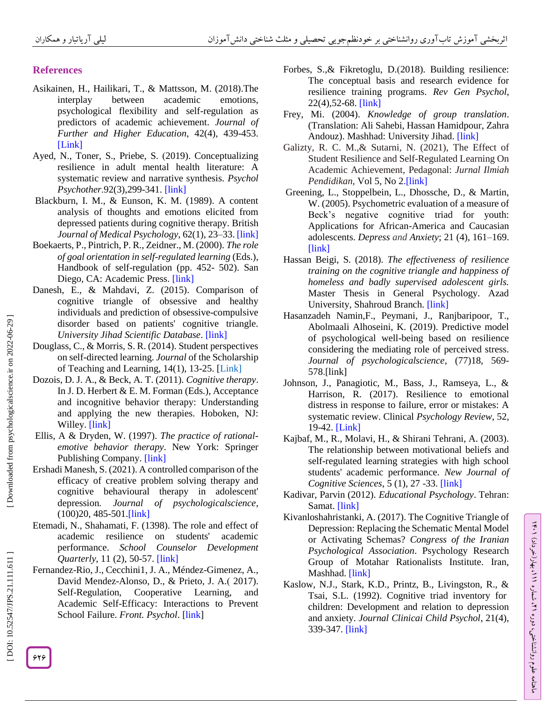# **References**

- [Asikainen,](https://www.tandfonline.com/author/Asikainen%2C+Henna) H., [Hailikari,](https://www.tandfonline.com/author/Hailikari%2C+Telle) T., & [Mattsson,](https://www.tandfonline.com/author/Mattsson%2C+Markus) M. (2018).The interplay between academic emotions, psychological flexibility and self -regulation as predictors of academic achievement. *[Journal of](https://www.tandfonline.com/toc/cjfh20/current)  [Further and Higher Education](https://www.tandfonline.com/toc/cjfh20/current)*, 42(4), 439 -453. [\[Link](https://doi.org/10.1080/0309877X.2017.1281889) ]
- Ayed, N., Toner, S., Priebe, S. (2019). Conceptualizing resilience in adult mental health literature: A systematic review and narrative synthesis. *Psychol*  Psychother.92(3),299-341. [\[link\]](https://brainmind.org/)
- Blackburn, I. M., & Eunson, K. M. (1989). A content analysis of thoughts and emotions elicited from depressed patients during cognitive therapy. British *Journal of Medical Psychology*, 62(1), 23 –33[. \[link\]](file:///C:/Users/SHAD/Desktop/خانم%20زاد/.%20https:/doi.org/10.1111/j.2044-8341.1989.tb02807)
- Boekaerts, P., Pintrich, P. R., Zeidner., M. (2000). *The role of goal orientation in self-regulated learning* (Eds.), Handbook of self-regulation (pp. 452 - 502). San Diego, CA: Academic Press. [\[link\]](http://cachescan.bcub.ro/e-book/E1/580704/451-529.pdf)
- Danesh, E., & Mahdavi, Z. (2015). Comparison of cognitive triangle of obsessive and healthy individuals and prediction of obsessive-compulsive disorder based on patients' cognitive triangle. *University Jihad Scientific Database* . [\[link\]](https://www.sid.ir/fa/seminar/ViewPaper.aspx?ID=91472)
- Douglass, C., & Morris, S. R. (2014). Student perspectives on self-directed learning. *Journal* of the Scholarship of Teaching and Learning, 14(1), 13-25. [\[Link](https://files.eric.ed.gov/fulltext/EJ1023643.pdf)]
- Dozois, D. J. A., & Beck, A. T. (2011). *Cognitive therapy*. In J. D. Herbert & E. M. Forman (Eds.), Acceptance and incognitive behavior therapy: Understanding and applying the new therapies. Hoboken, NJ: Willey. [\[link\]](https://www.migrainedisorders.org/)
- Ellis, A & Dryden, W. (1997). *The practice of rational emotive behavior therapy*. New York: Springer Publishing Company. [\[link\]](https://psycnet.apa.org/)
- Ershadi Manesh, S. (2021). A controlled comparison of the efficacy of creative problem solving therapy and cognitive behavioural therapy in adolescent' depression*. Journal of psychologicalscience*,  $(100)20, 485-501$ [.\[link\]](http://psychologicalscience.ir/article-۱-۱۲۶۴-fa.html)
- Etemadi, N., Shahamati, F. (1398). The role and effect of academic resilience on students' academic performance. *School Counselor Development Quarterly*, 11 (2), 50 -57. [\[link\]](https://www.magiran.com/paper/2121755)
- Fernandez -Rio, J., Cecchini1, J. A., Méndez -Gimenez, A., David Mendez-Alonso, D., & Prieto, J. A. (2017). Self-Regulation, Cooperative Learning, and Academic Self-Efficacy: Interactions to Prevent School Failure. Front. Psychol. [\[link](https://doi.org/10.3389/fpsyg..00022)]
- Forbes, S.,& Fikretoglu, D.(2018). Building resilience: The conceptual basis and research evidence for resilience training programs. *Rev Gen Psychol*, 22(4),52 -68. [\[link\]](https://doi.org/10.1037/gpr0000152)
- Frey, Mi. (2004). *Knowledge of group translation*. (Translation: Ali Sahebi, Hassan Hamidpour, Zahra Andouz). Mashhad: University Jihad. [\[link\]](https://www.adinehbook.com/gp/product/9643240665)
- Galizty, R. C. M.,& Sutarni, N. (2021), The Effect of Student Resilience and Self-Regulated Learning On Academic Achievement, Pedagonal: *Jurnal Ilmiah Pendidikan*, [Vol 5, No 2.\[link\]](https://journal.unpak.ac.id/index.php/pedagonal/issue/view/423)
- Greening, L., Stoppelbein, L., Dhossche, D., & Martin, W. (2005). Psychometric evaluation of a measure of Beck's negative cognitive triad for youth: Applications for African -America and Caucasian adolescents. *Depress and Anxiety*; 21 (4), 161 –169. [\[link\]](https://doi.org/10.1002/da.20073)
- Hassan Beigi, S. (2018). *The effectiveness of resilience training on the cognitive triangle and happiness of homeless and badly supervised adolescent girls.* Master Thesis in General Psychology. Azad University, Shahroud Branch. [\[link\]](http://ensani.ir/fa/article/421603)
- Hasanzadeh Namin,F., Peymani, J., Ranjbaripoor, T., Abolmaali Alhoseini, K. (2019). Predictive model of psychological well -being based on resilience considering the mediating role of perceived stress. *Journal of psychologicalscience*, (77)18, 569 - 57[8](http://psychologicalscience.ir/article-1-446-fa.html) [.\[link\]](http://psychologicalscience.ir/article-1-446-fa.html)
- Johnson, J., Panagiotic, M., Bass, J., Ramseya, L., & Harrison, R. (2017). Resilience to emotional distress in response to failure, error or mistakes: A systematic review. Clinical *Psychology Review*, 52, 19-42. [\[Link](doi:%2010.1016/j.cpr.2016.11.007.%20Epub%202016%20Nov%2021.)]
- Kajbaf, M., R., Molavi, H., & Shirani Tehrani, A. (2003). The relationship between motivational beliefs and self-regulated learning strategies with high school students' academic performance. *New Journal of Cognitive Sciences*, 5 (1), 27 -33. [\[link\]](http://icssjournal.ir/article-1-131-fa.html)
- Kadivar, Parvin (2012). *Educational Psychology*. Tehran: Samat. [\[link\]](https://samta.samt.ac.ir/)
- Kivanloshahristanki, A. (2017). The Cognitive Triangle of Depression: Replacing the Schematic Mental Model or Activating Schemas? *Congress of the Iranian Psychological Association*. Psychology Research Group of Motahar Rationalists Institute. Iran, Mashhad. [\[link\]](https://www.sid.ir/Fa/Seminar/ViewPaper.aspx?ID=92699)
- Kaslow, N.J., Stark, K.D., Printz, B., Livingston, R., & Tsai, S.L. (1992). Cognitive triad inventory for children: Development and relation to depression and anxiety. *Journal Clinicai Child Psychol* , 21(4), 339 -347. [\[link\]](https://doi.org/10.1207/s15374424jccp2104_3)

ラン

، بهار)خرداد( 111

، شماره 21

ماهنامه علوم روانشناختی، دوره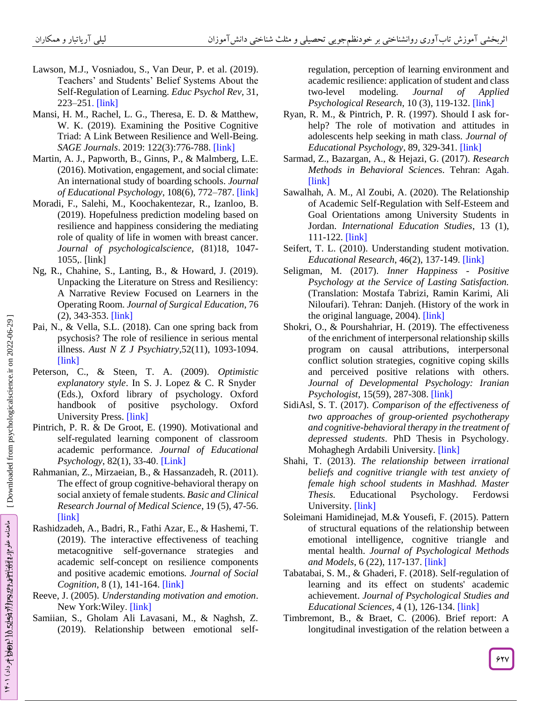- Lawson, M.J., Vosniadou, S., Van Deur, P. et al. (2019). Teachers' and Students' Belief Systems About the Self-Regulation of Learning. *Educ Psychol Rev,* 31, 223 –251. [\[link\]](https://doi.org/10.1007/s10648-018-9453-7)
- Mansi, H. M., Rachel, L. G., Theresa, E. D. & Matthew, W. K. (2019). Examining the Positive Cognitive Triad: A Link Between Resilience and Well -Being. *SAGE Journals*. 2019: 122(3):776 -788. [\[link\]](doi:10.1177/0033294118773722Corpus%20ID:%2013967224)
- Martin, A. J., Papworth, B., Ginns, P., & Malmberg, L.E. (2016). Motivation, engagement, and social climate: An international study of boarding schools. *Journal of Educational Psychology*, 108(6), 772 –787[. \[link\]](https://doi.org/10.1037/edu0000086)
- Moradi, F., Salehi, M., Koochakentezar, R., Izanloo, B. (2019). Hopefulness prediction modeling based on resilience and happiness considering the mediating role of quality of life in women with breast cancer. *Journal of psychologicalscience,* (81)18, 1047 - 1055, . [\[link\]](http://psychologicalscience.ir/article-1-409-fa.html)
- Ng, R., Chahine, S., Lanting, B., & Howard, J. (2019). Unpacking the Literature on Stress and Resiliency: A Narrative Review Focused on Learners in the Operating Room. *Journal of Surgical Education*, 76 (2), 343 -353. [\[link\]](doi:%2010.1016/j.jsurg.2018.07.025)
- Pai, N., & Vella, S.L. (2018). Can one spring back from psychosis? The role of resilience in serious mental illness. *Aust N Z J Psychiatry*,52(11), 1093 -1094. [\[link\]](doi:%2010.1177/0004867418802900)
- Peterson, C., & Steen, T. A. (2009). *Optimistic explanatory style*. In S. J. Lopez & C. R Snyder (Eds.), Oxford library of psychology. Oxford handbook of positive psychology. Oxford University Press. [\[link\]](doi:%2010.1093/oxfordhb/9780195187243.013.0029)
- Pintrich, P. R. & De Groot, E. (1990). Motivational and self-regulated learning component of classroom academic performance. *Journal of Educational*  Psychology, 82(1), 33-40. [\[Link](https://doi.org/10.1037/0022-0663.82.1.33)]
- Rahmanian, Z., Mirzaeian, B., & Hassanzadeh, R. (2011). The effect of group cognitive -behavioral therapy on social anxiety of female students. *Basic and Clinical Research Journal of Medical Science*, 19 (5), 47 -56. [\[link\]](http://daneshvarmed.shahed.ac.ir/article_1493.html)
- Rashidzadeh, A., Badri, R., Fathi Azar, E., & Hashemi, T. (2019). The interactive effectiveness of teaching metacognitive self-governance strategies and academic self-concept on resilience components and positive academic emotions*. Journal of Social Cognition*, 8 (1), 141 -164. [\[link\]](file:///C:/Users/SHAD/Desktop/خانم%20زاد/10.30473/SC.2019.39956.2191)
- Reeve, J. (2005). *Understanding motivation and emotion*. New York: Wiley. [\[link\]](https://www.wiley.com/en-us/Understanding+Motivation+and+Emotion%2C+7th+Edition-p-9781119367604)
- Samiian, S., Gholam Ali Lavasani, M., & Naghsh, Z. (2019). Relationship between emotional self-

regulation, perception of learning environment and academic resilience: application of student and class two modeling. *Journal of Applied Psychological Research*, 10 (3), 119 -132. [\[link\]](https://dx.doi.org/10.22059/japr.2019.247550.642681)

- Ryan, R. M., & Pintrich, P. R. (1997). Should I ask for help? The role of motivation and attitudes in adolescents help seeking in math class*. Journal of Educational Psychology*, 89, 329 -341. [\[link\]](doi:10.1037/0022-0663.89.2.329Corpus%20ID:%20144420442)
- Sarmad, Z., Bazargan, A., & Hejazi, G. (2017). *Research Methods in Behavioral Science*s. Tehran: Aga[h.](https://www.adinehbook.com/gp/product/9643290514)  [\[link\]](https://www.adinehbook.com/gp/product/9643290514)
- Sawalhah, A. M., Al Zoubi, A. (2020). The Relationship of Academic Self-Regulation with Self -Esteem and Goal Orientations among University Students in Jordan. *International Education Studies*, 13 (1), 111 -122. [\[link\]](https://doi.org/10.5539/ies.v13n1p111)
- Seifert, T. L. (2010). Understanding student motivation. Educational Research, 46(2), 137-149. [\[link\]](https://doi.org/10.1080/0013188042000222421)
- Seligman, M. (2017). *Inner Happiness - Positive Psychology at the Service of Lasting Satisfaction.* (Translation: Mostafa Tabrizi, Ramin Karimi, Ali Niloufari). Tehran: Danjeh. (History of the work in the original language, 2004). [\[link\]](https://www.fadakbook.ir/product/15133)
- Shokri, O., & Pourshahriar, H. (2019). The effectiveness of the enrichment of interpersonal relationship skills program on causal attributions, interpersonal conflict solution strategies, cognitive coping skills and perceived positive relations with others. *Journal of Developmental Psychology: Iranian Psychologist*, 15(59), 287 -308 . [\[link\]](https://www.sid.ir/fa/journal/ViewPaper.aspx?id=490902)
- SidiAsl, S. T. (2017). *Comparison of the effectiveness of two approaches of group -oriented psychotherapy and cognitive -behavioral therapy in the treatment of depressed students*. PhD Thesis in Psychology. Mohaghegh Ardabili University. [\[link\]](https://repository.uma.ac.ir/)
- Shahi, T. (2013). *The relationship between irrational beliefs and cognitive triangle with test anxiety of female high school students in Mashhad. Master Thesis.* Educational Psychology. Ferdowsi University. [\[link\]](https://elmnet.ir/article/10587686-26256)
- Soleimani Hamidinejad, M.& Yousefi, F. (2015). Pattern of structural equations of the relationship between emotional intelligence, cognitive triangle and mental health. *Journal of Psychological Methods and Models*, 6 (22), 117 -137. [\[link\]](https://www.sid.ir/fa/journal/ViewPaper.aspx?id=270492)
- Tabatabai, S. M., & Ghaderi, F. (2018). Self-regulation of learning and its effect on students' academic achievement. *Journal of Psychological Studies and Educational Sciences*, 4 (1), 126 -134. [\[link\]](http://www.uctjournals.com/farsi/archive/psychology/1397/spring/17.pdf)
- Timbremont, B., & Braet, C. (2006). Brief report: A longitudinal investigation of the relation between a